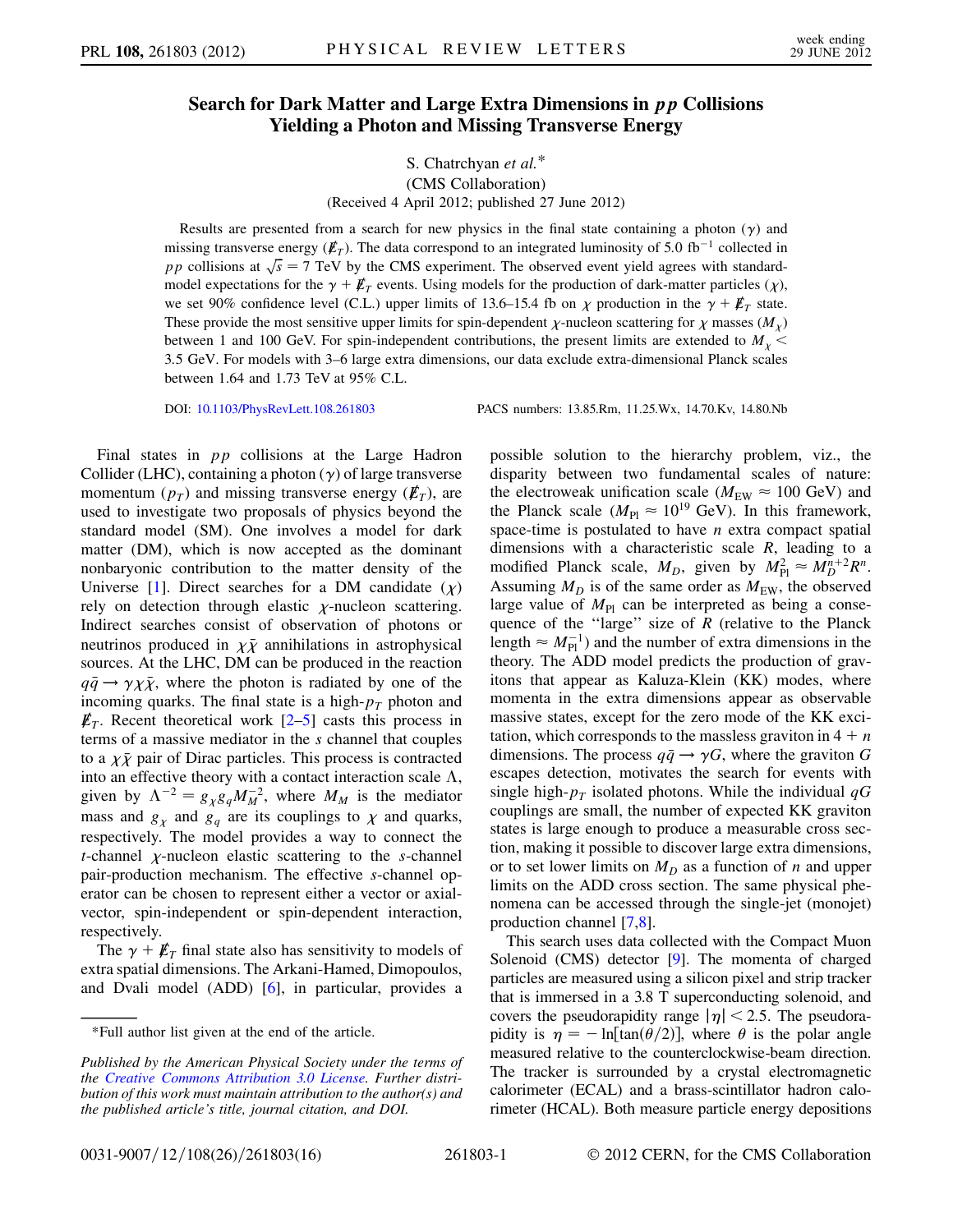## Search for Dark Matter and Large Extra Dimensions in pp Collisions Yielding a Photon and Missing Transverse Energy

## S. Chatrchyan et al.\* (CMS Collaboration) (Received 4 April 2012; published 27 June 2012)

Results are presented from a search for new physics in the final state containing a photon  $(\gamma)$  and missing transverse energy  $(\mathbf{E}_T)$ . The data correspond to an integrated luminosity of 5.0 fb<sup>-1</sup> collected in pp collisions at  $\sqrt{s} = 7$  TeV by the CMS experiment. The observed event yield agrees with standard-<br>model expectations for the  $\gamma + k$  events. Using models for the production of dark matter particles (x) model expectations for the  $\gamma + \cancel{E}_T$  events. Using models for the production of dark-matter particles  $(\chi)$ , we set 90% confidence level (C.L.) upper limits of 13.6–15.4 fb on  $\chi$  production in the  $\gamma + \not{E}_T$  state.<br>These provide the most sensitive upper limits for spin dependent  $\chi$  pueleen sectoring for  $\chi$  messes (M). These provide the most sensitive upper limits for spin-dependent  $\chi$ -nucleon scattering for  $\chi$  masses  $(M_\chi)$ between 1 and 100 GeV. For spin-independent contributions, the present limits are extended to  $M_{\chi}$  < 3.5 GeV. For models with 3–6 large extra dimensions, our data exclude extra-dimensional Planck scales between 1.64 and 1.73 TeV at 95% C.L.

DOI: [10.1103/PhysRevLett.108.261803](http://dx.doi.org/10.1103/PhysRevLett.108.261803) PACS numbers: 13.85.Rm, 11.25.Wx, 14.70.Kv, 14.80.Nb

Final states in pp collisions at the Large Hadron Collider (LHC), containing a photon  $(\gamma)$  of large transverse momentum  $(p_T)$  and missing transverse energy  $(\mathbf{E}_T)$ , are used to investigate two proposals of physics beyond the standard model (SM). One involves a model for dark matter (DM), which is now accepted as the dominant nonbaryonic contribution to the matter density of the Universe [\[1\]](#page-4-0). Direct searches for a DM candidate  $(\chi)$ <br>rely on detection through elastic v-nucleon scattering rely on detection through elastic  $\chi$ -nucleon scattering.<br>Indirect searches consist of observation of photons or Indirect searches consist of observation of photons or neutrinos produced in  $\chi \bar{\chi}$  annihilations in astrophysical<br>sources. At the LHC, DM can be produced in the reaction sources. At the LHC, DM can be produced in the reaction  $q\bar{q} \rightarrow \gamma \chi \bar{\chi}$ , where the photon is radiated by one of the incoming quarks. The final state is a high- $p_{\pi}$  photon and incoming quarks. The final state is a high- $p_T$  photon and  $\vec{F}_T$ . Recent theoretical work [2–5] casts this process in  $\n *E*<sub>T</sub>$ . Recent theoretical work [[2](#page-4-1)[–5\]](#page-4-2) casts this process in terms of a massive mediator in the s channel that couples to a  $\chi \bar{\chi}$  pair of Dirac particles. This process is contracted<br>into an effective theory with a contact interaction scale  $\Lambda$ . into an effective theory with a contact interaction scale  $\Lambda$ , given by  $\Lambda^{-2} = g_{\chi} g_q M_{\eta}^2$ , where  $M_M$  is the mediator<br>mass and g and g are its couplings to y and guarks mass and  $g_{\chi}$  and  $g_{q}$  are its couplings to  $\chi$  and quarks,<br>respectively. The model provides a way to connect the respectively. The model provides a way to connect the *t*-channel  $\chi$ -nucleon elastic scattering to the *s*-channel<br>pair-production mechanism. The effective s-channel oppair-production mechanism. The effective s-channel operator can be chosen to represent either a vector or axialvector, spin-independent or spin-dependent interaction, respectively.

The  $\gamma + \not{E}_T$  final state also has sensitivity to models of extra spatial dimensions. The Arkani-Hamed, Dimopoulos, and Dvali model (ADD) [[6](#page-4-3)], in particular, provides a possible solution to the hierarchy problem, viz., the disparity between two fundamental scales of nature: the electroweak unification scale  $(M_{\text{EW}} \approx 100 \text{ GeV})$  and<br>the Planck scale  $(M_{\text{UV}} \approx 10^{19} \text{ GeV})$ . In this framework the Planck scale ( $M_{\text{Pl}} \approx 10^{19} \text{ GeV}$ ). In this framework,<br>space-time is postulated to have *n* extra compact spatial space-time is postulated to have  $n$  extra compact spatial dimensions with a characteristic scale  $R$ , leading to a modified Planck scale,  $M_D$ , given by  $M_{\rm Pl}^2 \approx M_D^{n+2} R^n$ .<br>Assuming  $M_D$  is of the same order as  $M_{\rm BH}$ , the observed Assuming  $M_D$  is of the same order as  $M_{EW}$ , the observed large value of  $M_{\text{Pl}}$  can be interpreted as being a consequence of the "large" size of  $R$  (relative to the Planck length  $\approx M_{\text{Pl}}^{-1}$ ) and the number of extra dimensions in the theory. The ADD model predicts the production of graytheory. The ADD model predicts the production of gravitons that appear as Kaluza-Klein (KK) modes, where momenta in the extra dimensions appear as observable massive states, except for the zero mode of the KK excitation, which corresponds to the massless graviton in  $4 + n$ dimensions. The process  $q\bar{q} \rightarrow \gamma G$ , where the graviton G escapes detection, motivates the search for events with single high- $p<sub>T</sub>$  isolated photons. While the individual  $qG$ couplings are small, the number of expected KK graviton states is large enough to produce a measurable cross section, making it possible to discover large extra dimensions, or to set lower limits on  $M_D$  as a function of n and upper limits on the ADD cross section. The same physical phenomena can be accessed through the single-jet (monojet) production channel [[7](#page-4-4)[,8\]](#page-4-5).

This search uses data collected with the Compact Muon Solenoid (CMS) detector [\[9](#page-4-6)]. The momenta of charged particles are measured using a silicon pixel and strip tracker that is immersed in a 3.8 T superconducting solenoid, and covers the pseudorapidity range  $|\eta|$  < 2.5. The pseudorapidity is  $\eta = -\ln[\tan(\theta/2)]$ , where  $\theta$  is the polar angle measured relative to the counterclockwise-beam direction. The tracker is surrounded by a crystal electromagnetic calorimeter (ECAL) and a brass-scintillator hadron calorimeter (HCAL). Both measure particle energy depositions

<sup>\*</sup>Full author list given at the end of the article.

Published by the American Physical Society under the terms of the [Creative Commons Attribution 3.0 License.](http://creativecommons.org/licenses/by/3.0/) Further distribution of this work must maintain attribution to the author(s) and the published article's title, journal citation, and DOI.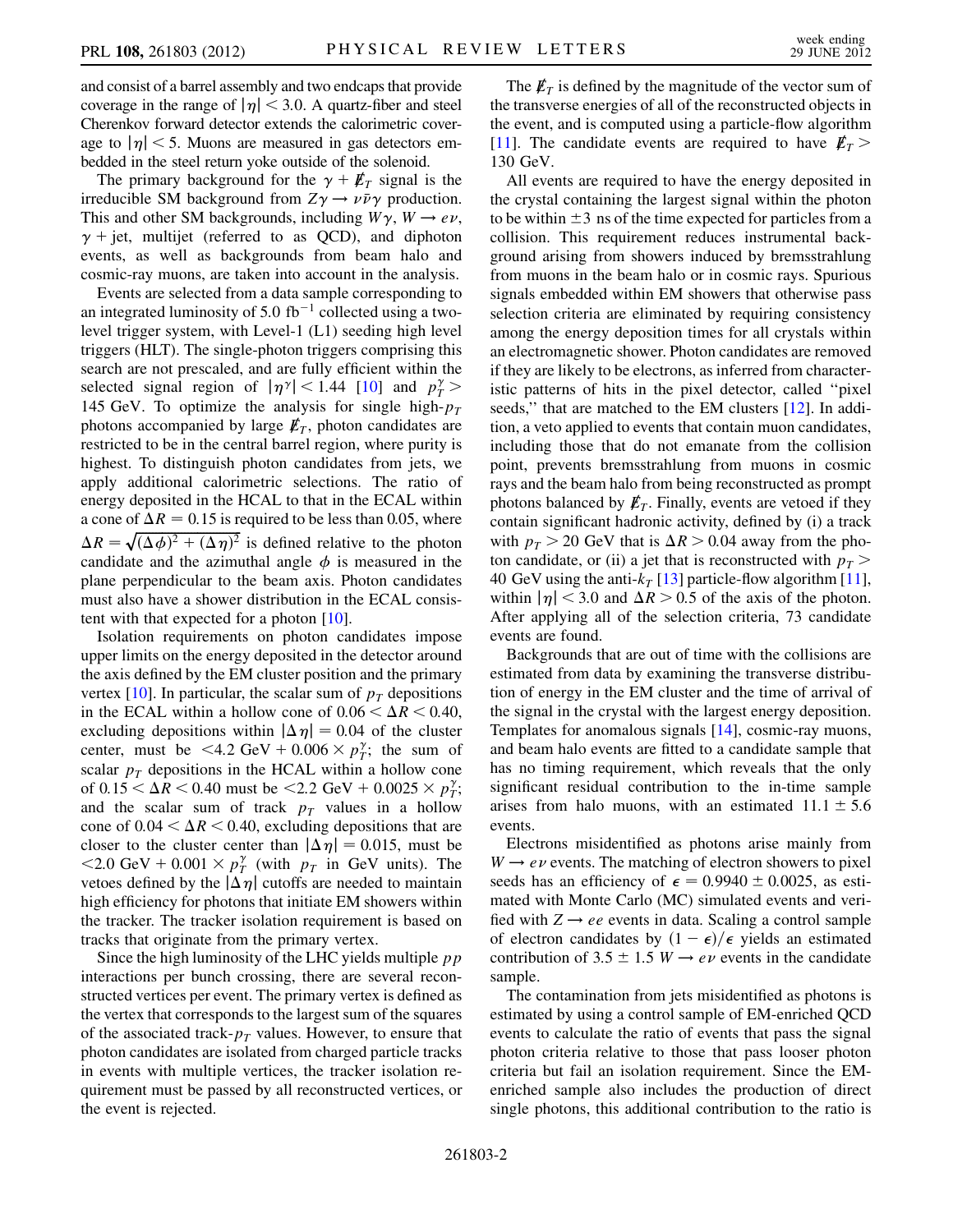and consist of a barrel assembly and two endcaps that provide coverage in the range of  $|\eta|$  < 3.0. A quartz-fiber and steel Cherenkov forward detector extends the calorimetric coverage to  $|\eta|$  < 5. Muons are measured in gas detectors embedded in the steel return yoke outside of the solenoid.

The primary background for the  $\gamma + \not{E}_T$  signal is the irreducible SM background from  $Z\gamma \rightarrow \nu \bar{\nu} \gamma$  production. This and other SM backgrounds, including  $W\gamma$ ,  $W \rightarrow e\nu$ ,  $\gamma$  + jet, multijet (referred to as QCD), and diphoton events, as well as backgrounds from beam halo and cosmic-ray muons, are taken into account in the analysis.

Events are selected from a data sample corresponding to an integrated luminosity of 5.0 fb<sup>-1</sup> collected using a twolevel trigger system, with Level-1 (L1) seeding high level triggers (HLT). The single-photon triggers comprising this search are not prescaled, and are fully efficient within the selected signal region of  $|\eta^{\gamma}| < 1.44$  [\[10\]](#page-4-7) and  $p_T^{\gamma}$  > 145 GeV. To optimize the analysis for single high- $p_T$ <br>photons accompanied by large  $\vec{F}_T$  photon candidates are photons accompanied by large  $\not\hspace{-1.2mm}E_T$ , photon candidates are restricted to be in the central barrel region, where purity is highest. To distinguish photon candidates from jets, we apply additional calorimetric selections. The ratio of energy deposited in the HCAL to that in the ECAL within a cone of  $\Delta R = 0.15$  is required to be less than 0.05, where  $\Delta R = \sqrt{(\Delta \phi)^2 + (\Delta \eta)^2}$  is defined relative to the photon candidate and the azimuthal angle  $\phi$  is measured in the candidate and the azimuthal angle  $\phi$  is measured in the plane perpendicular to the beam axis. Photon candidates must also have a shower distribution in the ECAL consistent with that expected for a photon [\[10](#page-4-7)].

Isolation requirements on photon candidates impose upper limits on the energy deposited in the detector around the axis defined by the EM cluster position and the primary vertex [\[10\]](#page-4-7). In particular, the scalar sum of  $p_T$  depositions in the ECAL within a hollow cone of  $0.06 < \Delta R < 0.40$ , excluding depositions within  $|\Delta \eta| = 0.04$  of the cluster center, must be  $\langle 4.2 \text{ GeV} + 0.006 \times p_T^2 \rangle$ ; the sum of<br>scalar  $p_T$  depositions in the HCAL within a hollow cone scalar  $p_T$  depositions in the HCAL within a hollow cone of  $0.15 \leq \Delta R \leq 0.40$  must be  $\langle 2.2 \text{ GeV} + 0.0025 \times p_T^2$ ;<br>and the scalar sum of track  $p_T$  values in a hollow and the scalar sum of track  $p<sub>T</sub>$  values in a hollow cone of  $0.04 < \Delta R < 0.40$ , excluding depositions that are closer to the cluster center than  $|\Delta \eta| = 0.015$ , must be  $\langle 2.0 \text{ GeV} + 0.001 \times p_T^{\gamma} \rangle$  (with  $p_T$  in GeV units). The vetoes defined by the  $|\Delta \eta|$  cutoffs are needed to maintain high efficiency for photons that initiate EM showers within the tracker. The tracker isolation requirement is based on tracks that originate from the primary vertex.

Since the high luminosity of the LHC yields multiple  $p p$ interactions per bunch crossing, there are several reconstructed vertices per event. The primary vertex is defined as the vertex that corresponds to the largest sum of the squares of the associated track- $p<sub>T</sub>$  values. However, to ensure that photon candidates are isolated from charged particle tracks in events with multiple vertices, the tracker isolation requirement must be passed by all reconstructed vertices, or the event is rejected.

The  $\not\hspace{-.15cm}/\,F_T$  is defined by the magnitude of the vector sum of the transverse energies of all of the reconstructed objects in the event, and is computed using a particle-flow algorithm [\[11\]](#page-4-8). The candidate events are required to have  $E_T >$ 130 GeV.

All events are required to have the energy deposited in the crystal containing the largest signal within the photon to be within  $\pm 3$  ns of the time expected for particles from a collision. This requirement reduces instrumental background arising from showers induced by bremsstrahlung from muons in the beam halo or in cosmic rays. Spurious signals embedded within EM showers that otherwise pass selection criteria are eliminated by requiring consistency among the energy deposition times for all crystals within an electromagnetic shower. Photon candidates are removed if they are likely to be electrons, as inferred from characteristic patterns of hits in the pixel detector, called ''pixel seeds," that are matched to the EM clusters [[12](#page-4-9)]. In addition, a veto applied to events that contain muon candidates, including those that do not emanate from the collision point, prevents bremsstrahlung from muons in cosmic rays and the beam halo from being reconstructed as prompt photons balanced by  $\not{\!\mathit{E}}_T$ . Finally, events are vetoed if they contain significant hadronic activity, defined by (i) a track with  $p_T > 20$  GeV that is  $\Delta R > 0.04$  away from the photon candidate, or (ii) a jet that is reconstructed with  $p_T$  > 40 GeV using the anti- $k_T$  [[13](#page-4-10)] particle-flow algorithm [[11\]](#page-4-8), within  $|\eta|$  < 3.0 and  $\Delta R$  > 0.5 of the axis of the photon. After applying all of the selection criteria, 73 candidate events are found.

Backgrounds that are out of time with the collisions are estimated from data by examining the transverse distribution of energy in the EM cluster and the time of arrival of the signal in the crystal with the largest energy deposition. Templates for anomalous signals [\[14\]](#page-4-11), cosmic-ray muons, and beam halo events are fitted to a candidate sample that has no timing requirement, which reveals that the only significant residual contribution to the in-time sample arises from halo muons, with an estimated  $11.1 \pm 5.6$ events.

Electrons misidentified as photons arise mainly from  $W \rightarrow e \nu$  events. The matching of electron showers to pixel seeds has an efficiency of  $\epsilon = 0.9940 \pm 0.0025$ , as estimated with Monte Carlo (MC) simulated events and verified with  $Z \rightarrow ee$  events in data. Scaling a control sample of electron candidates by  $(1 - \epsilon)/\epsilon$  yields an estimated contribution of 3.5  $\pm$  1.5 W  $\rightarrow$  events in the candidate sample.

The contamination from jets misidentified as photons is estimated by using a control sample of EM-enriched QCD events to calculate the ratio of events that pass the signal photon criteria relative to those that pass looser photon criteria but fail an isolation requirement. Since the EMenriched sample also includes the production of direct single photons, this additional contribution to the ratio is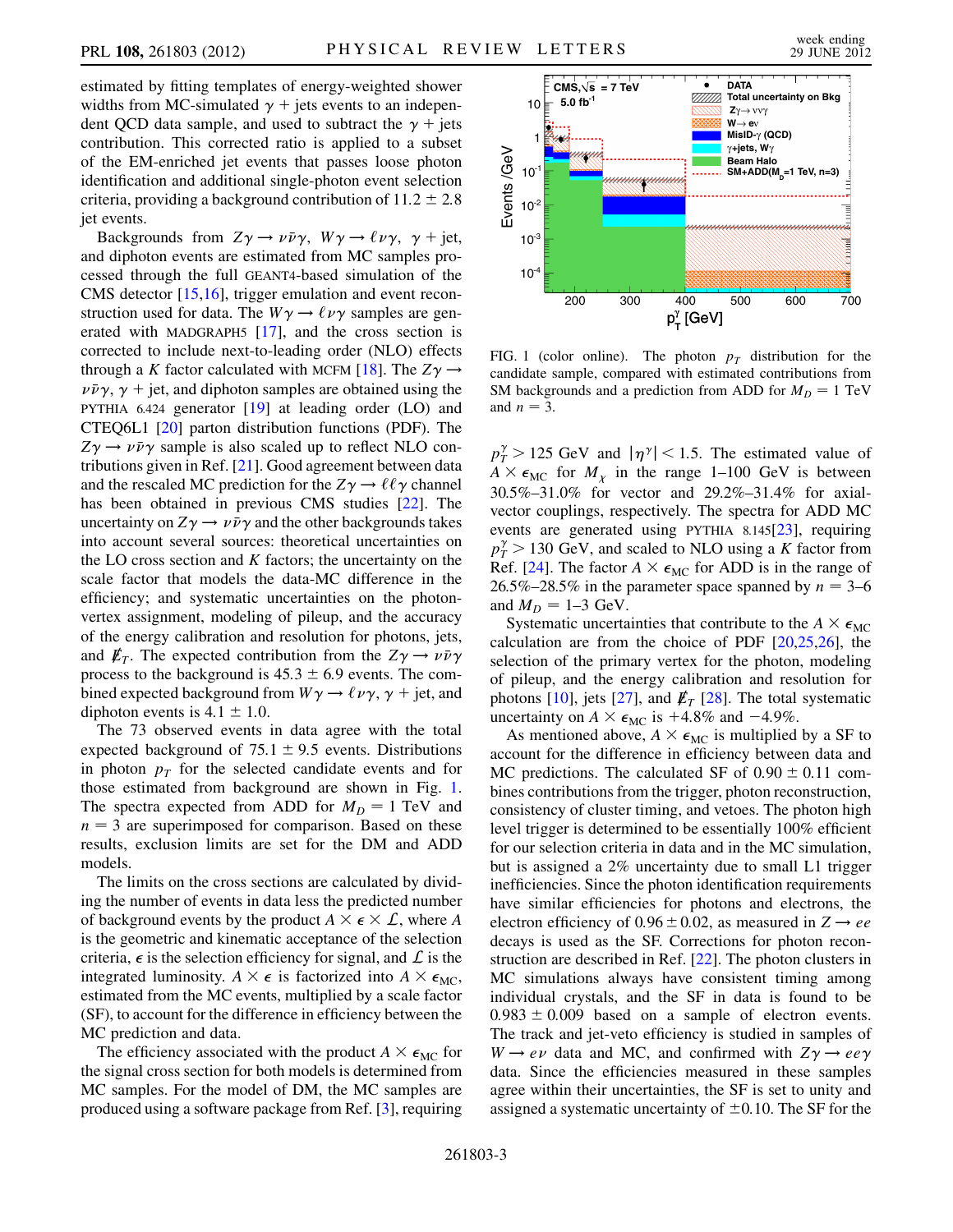estimated by fitting templates of energy-weighted shower widths from MC-simulated  $\gamma$  + jets events to an independent QCD data sample, and used to subtract the  $\gamma$  + jets contribution. This corrected ratio is applied to a subset of the EM-enriched jet events that passes loose photon identification and additional single-photon event selection criteria, providing a background contribution of  $11.2 \pm 2.8$ jet events.

Backgrounds from  $Z\gamma \rightarrow \nu \bar{\nu} \gamma$ ,  $W\gamma \rightarrow \ell \nu \gamma$ ,  $\gamma$  + jet, and diphoton events are estimated from MC samples processed through the full GEANT4-based simulation of the CMS detector [[15,](#page-4-12)[16](#page-4-13)], trigger emulation and event reconstruction used for data. The  $W\gamma \rightarrow \ell \nu \gamma$  samples are generated with MADGRAPH5 [[17](#page-4-14)], and the cross section is corrected to include next-to-leading order (NLO) effects through a K factor calculated with MCFM [\[18\]](#page-4-15). The  $Z\gamma \rightarrow$  $\nu \bar{\nu} \gamma$ ,  $\gamma$  + jet, and diphoton samples are obtained using the PYTHIA 6.424 generator [[19](#page-4-16)] at leading order (LO) and CTEQ6L1 [[20](#page-4-17)] parton distribution functions (PDF). The  $Z\gamma \rightarrow \nu \bar{\nu} \gamma$  sample is also scaled up to reflect NLO contributions given in Ref. [[21](#page-4-18)]. Good agreement between data and the rescaled MC prediction for the  $Z\gamma \rightarrow \ell \ell \gamma$  channel has been obtained in previous CMS studies [[22](#page-4-19)]. The uncertainty on  $Z\gamma \rightarrow \nu \bar{\nu} \gamma$  and the other backgrounds takes into account several sources: theoretical uncertainties on the LO cross section and  $K$  factors; the uncertainty on the scale factor that models the data-MC difference in the efficiency; and systematic uncertainties on the photonvertex assignment, modeling of pileup, and the accuracy of the energy calibration and resolution for photons, jets, and  $E_T$ . The expected contribution from the  $Z\gamma \rightarrow \nu \bar{\nu} \gamma$ process to the background is  $45.3 \pm 6.9$  events. The combined expected background from  $W\gamma \rightarrow \ell \nu \gamma$ ,  $\gamma$  + jet, and diphoton events is  $4.1 \pm 1.0$ .

The 73 observed events in data agree with the total expected background of  $75.1 \pm 9.5$  events. Distributions in photon  $p_T$  for the selected candidate events and for those estimated from background are shown in Fig. [1](#page-2-0). The spectra expected from ADD for  $M_D = 1$  TeV and  $n = 3$  are superimposed for comparison. Based on these results, exclusion limits are set for the DM and ADD models.

The limits on the cross sections are calculated by dividing the number of events in data less the predicted number of background events by the product  $A \times \epsilon \times \mathcal{L}$ , where A is the geometric and kinematic acceptance of the selection criteria,  $\epsilon$  is the selection efficiency for signal, and  $\mathcal L$  is the integrated luminosity.  $A \times \epsilon$  is factorized into  $A \times \epsilon_{MC}$ , estimated from the MC events, multiplied by a scale factor (SF), to account for the difference in efficiency between the MC prediction and data.

The efficiency associated with the product  $A \times \epsilon_{MC}$  for the signal cross section for both models is determined from MC samples. For the model of DM, the MC samples are produced using a software package from Ref. [\[3](#page-4-20)], requiring

<span id="page-2-0"></span>

FIG. 1 (color online). The photon  $p<sub>T</sub>$  distribution for the candidate sample, compared with estimated contributions from SM backgrounds and a prediction from ADD for  $M_D = 1$  TeV and  $n = 3$ .

 $p_T^{\gamma} > 125$  GeV and  $|\eta^{\gamma}| < 1.5$ . The estimated value of  $A \times \epsilon_{\text{MSE}}$  for M in the range 1–100 GeV is between  $A \times \epsilon_{MC}$  for  $M_{\chi}$  in the range 1–100 GeV is between<br>30.5%, 31.0%, for yector and 20.2%, 31.4% for axial 30.5%–31.0% for vector and 29.2%–31.4% for axialvector couplings, respectively. The spectra for ADD MC events are generated using PYTHIA 8.145[\[23\]](#page-4-21), requiring  $p_T^{\gamma} > 130$  GeV, and scaled to NLO using a K factor from<br>Ref. [24]. The factor  $A \times \epsilon_{\text{max}}$  for ADD is in the range of Ref. [\[24\]](#page-4-22). The factor  $A \times \epsilon_{MC}$  for ADD is in the range of 26.5%–28.5% in the parameter space spanned by  $n = 3-6$ and  $M_D = 1-3$  GeV.

Systematic uncertainties that contribute to the  $A \times \epsilon_{MC}$ calculation are from the choice of PDF  $[20,25,26]$  $[20,25,26]$  $[20,25,26]$  $[20,25,26]$  $[20,25,26]$  $[20,25,26]$  $[20,25,26]$ , the selection of the primary vertex for the photon, modeling of pileup, and the energy calibration and resolution for photons [[10](#page-4-7)], jets [\[27\]](#page-5-1), and  $\not\hspace{-.15cm}/_T$  [[28](#page-5-2)]. The total systematic uncertainty on  $A \times \epsilon_{MC}$  is +4.8% and -4.9%.

As mentioned above,  $A \times \epsilon_{MC}$  is multiplied by a SF to account for the difference in efficiency between data and MC predictions. The calculated SF of  $0.90 \pm 0.11$  combines contributions from the trigger, photon reconstruction, consistency of cluster timing, and vetoes. The photon high level trigger is determined to be essentially 100% efficient for our selection criteria in data and in the MC simulation, but is assigned a 2% uncertainty due to small L1 trigger inefficiencies. Since the photon identification requirements have similar efficiencies for photons and electrons, the electron efficiency of  $0.96 \pm 0.02$ , as measured in  $Z \rightarrow ee$ decays is used as the SF. Corrections for photon reconstruction are described in Ref. [\[22\]](#page-4-19). The photon clusters in MC simulations always have consistent timing among individual crystals, and the SF in data is found to be  $0.983 \pm 0.009$  based on a sample of electron events. The track and jet-veto efficiency is studied in samples of  $W \rightarrow e \nu$  data and MC, and confirmed with  $Z \gamma \rightarrow e e \gamma$ data. Since the efficiencies measured in these samples agree within their uncertainties, the SF is set to unity and assigned a systematic uncertainty of  $\pm 0.10$ . The SF for the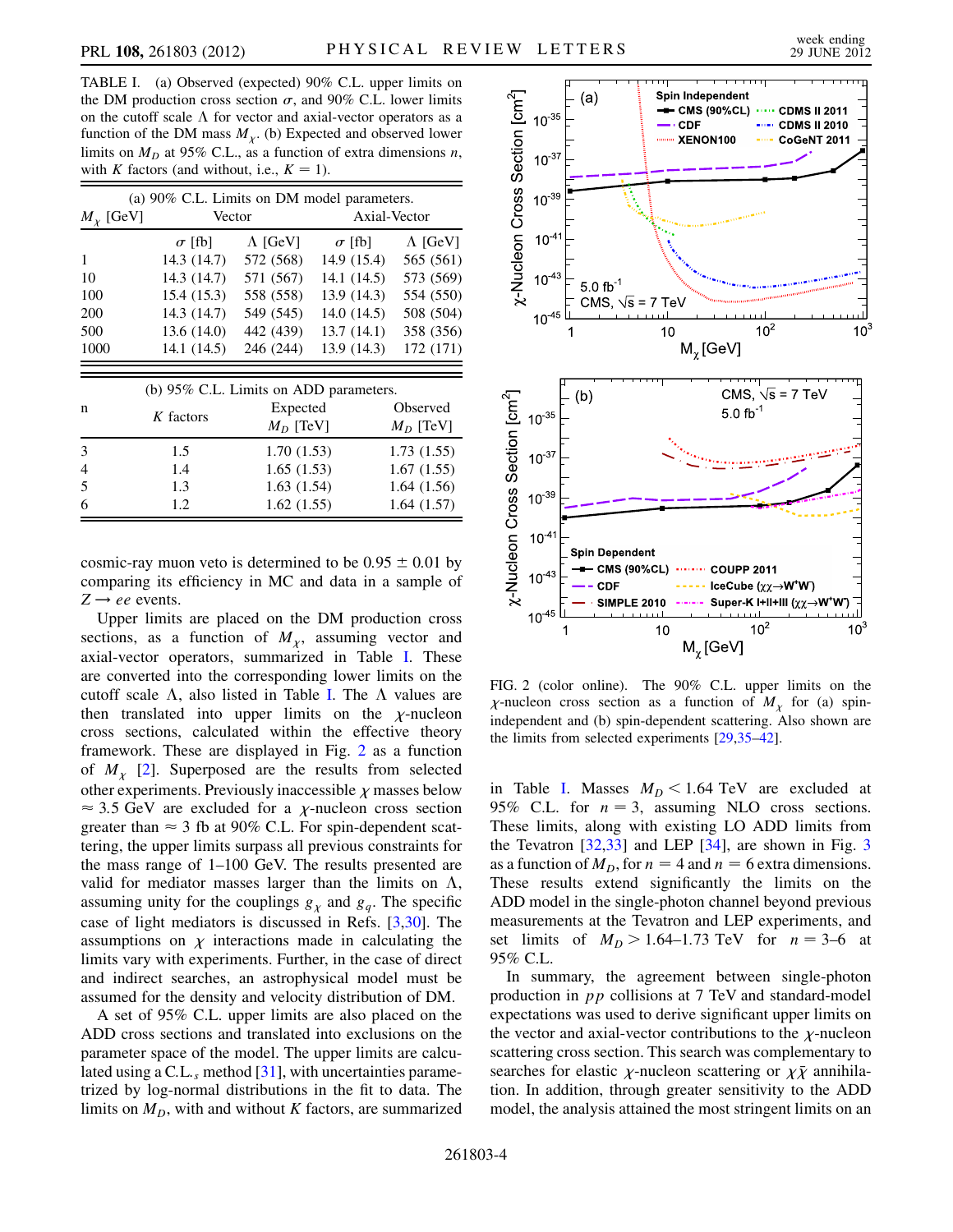<span id="page-3-0"></span>TABLE I. (a) Observed (expected) 90% C.L. upper limits on the DM production cross section  $\sigma$ , and 90% C.L. lower limits on the cutoff scale  $\Lambda$  for vector and axial-vector operators as a function of the DM mass  $M_{\chi}$ . (b) Expected and observed lower<br>limits on  $M_{\gamma}$  at 95% C L as a function of extra dimensions n limits on  $M_D$  at 95% C.L., as a function of extra dimensions n, with K factors (and without, i.e.,  $K = 1$ ).

|               | (a) 90% C.L. Limits on DM model parameters. |                 |               |                 |  |
|---------------|---------------------------------------------|-----------------|---------------|-----------------|--|
| $M_{Y}$ [GeV] |                                             | Vector          |               | Axial-Vector    |  |
|               | $\sigma$ [fb]                               | $\Lambda$ [GeV] | $\sigma$ [fb] | $\Lambda$ [GeV] |  |
| 1             | 14.3(14.7)                                  | 572 (568)       | 14.9(15.4)    | 565 (561)       |  |
| 10            | 14.3 (14.7)                                 | 571 (567)       | 14.1(14.5)    | 573 (569)       |  |
| 100           | 15.4(15.3)                                  | 558 (558)       | 13.9(14.3)    | 554 (550)       |  |
| 200           | 14.3 (14.7)                                 | 549 (545)       | 14.0(14.5)    | 508 (504)       |  |
| 500           | 13.6(14.0)                                  | 442 (439)       | 13.7(14.1)    | 358 (356)       |  |
| 1000          | 14.1(14.5)                                  | 246 (244)       | 13.9(14.3)    | 172 (171)       |  |
|               |                                             |                 |               |                 |  |
|               | (b) 95% C.L. Limits on ADD parameters.      |                 |               |                 |  |
| n             | K factors                                   | Expected        |               | Observed        |  |
|               |                                             | $M_D$ [TeV]     |               | $M_D$ [TeV]     |  |
| 3             | 1.5                                         | 1.70(1.53)      |               | 1.73(1.55)      |  |
| 4             | 1.4                                         | 1.65(1.53)      |               | 1.67(1.55)      |  |
| 5             | 1.3                                         | 1.63(1.54)      |               | 1.64(1.56)      |  |
| 6             | 1.2                                         | 1.62(1.55)      |               | 1.64(1.57)      |  |

cosmic-ray muon veto is determined to be  $0.95 \pm 0.01$  by comparing its efficiency in MC and data in a sample of  $Z \rightarrow ee$  events.

Upper limits are placed on the DM production cross sections, as a function of  $M_{\chi}$ , assuming vector and<br>axial-vector operators, summarized in Table I. These axial-vector operators, summarized in Table [I.](#page-3-0) These are converted into the corresponding lower limits on the cutoff scale  $\Lambda$ , also listed in Table [I](#page-3-0). The  $\Lambda$  values are then translated into upper limits on the  $\chi$ -nucleon<br>cross sections calculated within the effective theory cross sections, calculated within the effective theory framework. These are displayed in Fig. [2](#page-3-1) as a function of  $M_{\chi}$  [\[2\]](#page-4-1). Superposed are the results from selected<br>other experiments Previously inaccessible x masses below other experiments. Previously inaccessible  $\chi$  masses below<br>  $\approx$  3.5 GeV are excluded for a v-nucleon cross section  $\approx$  3.5 GeV are excluded for a  $\chi$ -nucleon cross section<br>orgater than  $\approx$  3 fb at 90% C I. For spin-dependent scatgreater than  $\approx$  3 fb at 90% C.L. For spin-dependent scattering, the upper limits surpass all previous constraints for the mass range of 1–100 GeV. The results presented are valid for mediator masses larger than the limits on  $\Lambda$ , assuming unity for the couplings  $g_{\chi}$  and  $g_q$ . The specific<br>case of light mediators is discussed in Refs. [3,30]. The case of light mediators is discussed in Refs. [\[3](#page-4-20)[,30\]](#page-5-3). The assumptions on  $\chi$  interactions made in calculating the<br>limits vary with experiments Further in the case of direct limits vary with experiments. Further, in the case of direct and indirect searches, an astrophysical model must be assumed for the density and velocity distribution of DM.

A set of 95% C.L. upper limits are also placed on the ADD cross sections and translated into exclusions on the parameter space of the model. The upper limits are calculated using a C.L., method  $[31]$  $[31]$ , with uncertainties parametrized by log-normal distributions in the fit to data. The limits on  $M<sub>D</sub>$ , with and without K factors, are summarized

<span id="page-3-1"></span>

FIG. 2 (color online). The 90% C.L. upper limits on the independent and (b) spin-dependent scattering. Also shown are -nucleon cross section as a function of  $M_{\chi}$  for (a) spin-<br>dependent and (b) spin-dependent scattering. Also shown are the limits from selected experiments [\[29](#page-5-8),[35](#page-5-9)[–42](#page-5-10)].

in Table [I.](#page-3-0) Masses  $M_D < 1.64$  TeV are excluded at 95% C.L. for  $n = 3$ , assuming NLO cross sections. These limits, along with existing LO ADD limits from the Tevatron [\[32](#page-5-5)[,33\]](#page-5-6) and LEP [[34](#page-5-7)], are shown in Fig. [3](#page-4-24) as a function of  $M<sub>D</sub>$ , for  $n = 4$  and  $n = 6$  extra dimensions. These results extend significantly the limits on the ADD model in the single-photon channel beyond previous measurements at the Tevatron and LEP experiments, and set limits of  $M_D > 1.64 - 1.73 \text{ TeV}$  for  $n = 3 - 6$  at 95% C.L.

In summary, the agreement between single-photon production in pp collisions at 7 TeV and standard-model expectations was used to derive significant upper limits on the vector and axial-vector contributions to the  $\chi$ -nucleon<br>scattering cross section. This search was complementary to scattering cross section. This search was complementary to searches for elastic  $\chi$ -nucleon scattering or  $\chi \bar{\chi}$  annihila-<br>tion. In addition, through greater sensitivity to the ADD -tion. In addition, through greater sensitivity to the ADD model, the analysis attained the most stringent limits on an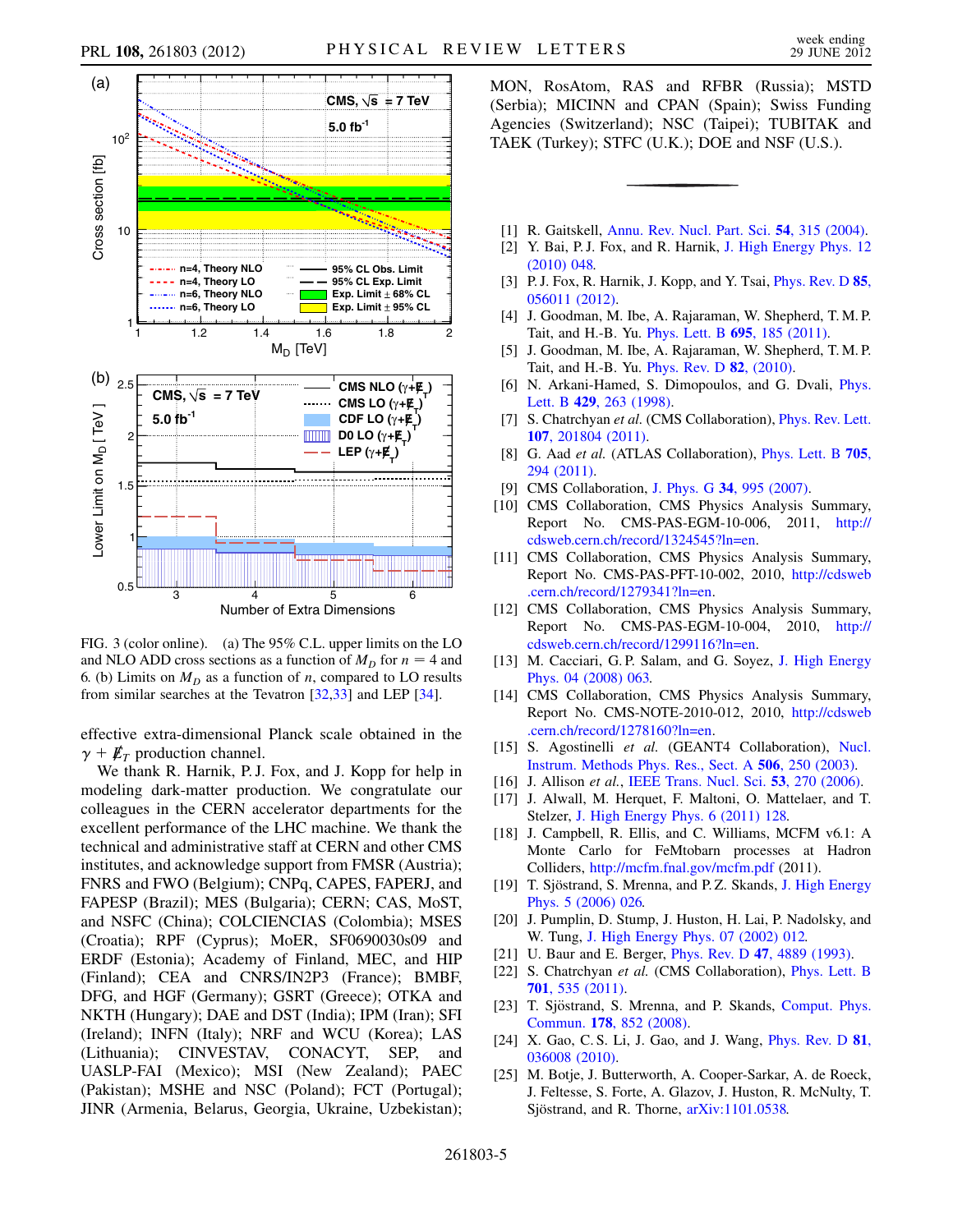

<span id="page-4-24"></span>

FIG. 3 (color online). (a) The 95% C.L. upper limits on the LO and NLO ADD cross sections as a function of  $M_D$  for  $n = 4$  and 6. (b) Limits on  $M_D$  as a function of n, compared to LO results from similar searches at the Tevatron [\[32,](#page-5-5)[33](#page-5-6)] and LEP [\[34\]](#page-5-7).

effective extra-dimensional Planck scale obtained in the  $\gamma + \not{\! E}_T$  production channel.

We thank R. Harnik, P.J. Fox, and J. Kopp for help in modeling dark-matter production. We congratulate our colleagues in the CERN accelerator departments for the excellent performance of the LHC machine. We thank the technical and administrative staff at CERN and other CMS institutes, and acknowledge support from FMSR (Austria); FNRS and FWO (Belgium); CNPq, CAPES, FAPERJ, and FAPESP (Brazil); MES (Bulgaria); CERN; CAS, MoST, and NSFC (China); COLCIENCIAS (Colombia); MSES (Croatia); RPF (Cyprus); MoER, SF0690030s09 and ERDF (Estonia); Academy of Finland, MEC, and HIP (Finland); CEA and CNRS/IN2P3 (France); BMBF, DFG, and HGF (Germany); GSRT (Greece); OTKA and NKTH (Hungary); DAE and DST (India); IPM (Iran); SFI (Ireland); INFN (Italy); NRF and WCU (Korea); LAS (Lithuania); CINVESTAV, CONACYT, SEP, and UASLP-FAI (Mexico); MSI (New Zealand); PAEC (Pakistan); MSHE and NSC (Poland); FCT (Portugal); JINR (Armenia, Belarus, Georgia, Ukraine, Uzbekistan); MON, RosAtom, RAS and RFBR (Russia); MSTD (Serbia); MICINN and CPAN (Spain); Swiss Funding Agencies (Switzerland); NSC (Taipei); TUBITAK and TAEK (Turkey); STFC (U.K.); DOE and NSF (U.S.).

- <span id="page-4-1"></span><span id="page-4-0"></span>[1] R. Gaitskell, [Annu. Rev. Nucl. Part. Sci.](http://dx.doi.org/10.1146/annurev.nucl.54.070103.181244) **54**, 315 (2004).
- <span id="page-4-20"></span>[2] Y. Bai, P.J. Fox, and R. Harnik, [J. High Energy Phys. 12](http://dx.doi.org/10.1007/JHEP12(2010)048) [\(2010\) 048.](http://dx.doi.org/10.1007/JHEP12(2010)048)
- [3] P. J. Fox, R. Harnik, J. Kopp, and Y. Tsai, *[Phys. Rev. D](http://dx.doi.org/10.1103/PhysRevD.85.056011)* 85, [056011 \(2012\).](http://dx.doi.org/10.1103/PhysRevD.85.056011)
- <span id="page-4-2"></span>[4] J. Goodman, M. Ibe, A. Rajaraman, W. Shepherd, T. M. P. Tait, and H.-B. Yu. [Phys. Lett. B](http://dx.doi.org/10.1016/j.physletb.2010.11.009) 695, 185 (2011).
- <span id="page-4-3"></span>[5] J. Goodman, M. Ibe, A. Rajaraman, W. Shepherd, T. M. P. Tait, and H.-B. Yu. [Phys. Rev. D](http://dx.doi.org/10.1103/PhysRevD.82.116010) 82, (2010).
- <span id="page-4-4"></span>[6] N. Arkani-Hamed, S. Dimopoulos, and G. Dvali, [Phys.](http://dx.doi.org/10.1016/S0370-2693(98)00466-3) Lett. B 429[, 263 \(1998\)](http://dx.doi.org/10.1016/S0370-2693(98)00466-3).
- <span id="page-4-5"></span>[7] S. Chatrchyan et al. (CMS Collaboration), *[Phys. Rev. Lett.](http://dx.doi.org/10.1103/PhysRevLett.107.201804)* 107[, 201804 \(2011\)](http://dx.doi.org/10.1103/PhysRevLett.107.201804).
- <span id="page-4-6"></span>[8] G. Aad et al. (ATLAS Collaboration), [Phys. Lett. B](http://dx.doi.org/10.1016/j.physletb.2011.10.006) 705, [294 \(2011\)](http://dx.doi.org/10.1016/j.physletb.2011.10.006).
- <span id="page-4-7"></span>[9] CMS Collaboration, J. Phys. G 34[, 995 \(2007\)](http://dx.doi.org/10.1088/0954-3899/34/6/S01).
- <span id="page-4-8"></span>[10] CMS Collaboration, CMS Physics Analysis Summary, Report No. CMS-PAS-EGM-10-006, 2011, [http://](http://cdsweb.cern.ch/record/1324545?ln=en) [cdsweb.cern.ch/record/1324545?ln=en.](http://cdsweb.cern.ch/record/1324545?ln=en)
- <span id="page-4-9"></span>[11] CMS Collaboration, CMS Physics Analysis Summary, Report No. CMS-PAS-PFT-10-002, 2010, [http://cdsweb](http://cdsweb.cern.ch/record/1279341?ln=en) [.cern.ch/record/1279341?ln=en.](http://cdsweb.cern.ch/record/1279341?ln=en)
- <span id="page-4-10"></span>[12] CMS Collaboration, CMS Physics Analysis Summary, Report No. CMS-PAS-EGM-10-004, 2010, [http://](http://cdsweb.cern.ch/record/1299116?ln=en) [cdsweb.cern.ch/record/1299116?ln=en.](http://cdsweb.cern.ch/record/1299116?ln=en)
- <span id="page-4-11"></span>[13] M. Cacciari, G.P. Salam, and G. Soyez, [J. High Energy](http://dx.doi.org/10.1088/1126-6708/2008/04/063) [Phys. 04 \(2008\) 063.](http://dx.doi.org/10.1088/1126-6708/2008/04/063)
- <span id="page-4-12"></span>[14] CMS Collaboration, CMS Physics Analysis Summary, Report No. CMS-NOTE-2010-012, 2010, [http://cdsweb](http://cdsweb.cern.ch/record/1278160?ln=en) [.cern.ch/record/1278160?ln=en.](http://cdsweb.cern.ch/record/1278160?ln=en)
- <span id="page-4-13"></span>[15] S. Agostinelli et al. (GEANT4 Collaboration), [Nucl.](http://dx.doi.org/10.1016/S0168-9002(03)01368-8) [Instrum. Methods Phys. Res., Sect. A](http://dx.doi.org/10.1016/S0168-9002(03)01368-8) 506, 250 (2003).
- <span id="page-4-14"></span>[16] J. Allison et al., [IEEE Trans. Nucl. Sci.](http://dx.doi.org/10.1109/TNS.2006.869826) 53, 270 (2006).
- <span id="page-4-15"></span>[17] J. Alwall, M. Herquet, F. Maltoni, O. Mattelaer, and T. Stelzer, [J. High Energy Phys. 6 \(2011\) 128.](http://dx.doi.org/10.1007/JHEP06(2011)128)
- <span id="page-4-16"></span>[18] J. Campbell, R. Ellis, and C. Williams, MCFM v6.1: A Monte Carlo for FeMtobarn processes at Hadron Colliders, <http://mcfm.fnal.gov/mcfm.pdf> (2011).
- <span id="page-4-17"></span>[19] T. Sjöstrand, S. Mrenna, and P.Z. Skands, [J. High Energy](http://dx.doi.org/10.1088/1126-6708/2006/05/026) [Phys. 5 \(2006\) 026.](http://dx.doi.org/10.1088/1126-6708/2006/05/026)
- <span id="page-4-19"></span><span id="page-4-18"></span>[20] J. Pumplin, D. Stump, J. Huston, H. Lai, P. Nadolsky, and W. Tung, [J. High Energy Phys. 07 \(2002\) 012.](http://dx.doi.org/10.1088/1126-6708/2002/07/012)
- [21] U. Baur and E. Berger, *Phys. Rev. D* **47**[, 4889 \(1993\).](http://dx.doi.org/10.1103/PhysRevD.47.4889)
- <span id="page-4-21"></span>[22] S. Chatrchyan et al. (CMS Collaboration), [Phys. Lett. B](http://dx.doi.org/10.1016/j.physletb.2011.06.034) 701[, 535 \(2011\).](http://dx.doi.org/10.1016/j.physletb.2011.06.034)
- <span id="page-4-22"></span>[23] T. Sjöstrand, S. Mrenna, and P. Skands, [Comput. Phys.](http://dx.doi.org/10.1016/j.cpc.2008.01.036) Commun. 178[, 852 \(2008\).](http://dx.doi.org/10.1016/j.cpc.2008.01.036)
- <span id="page-4-23"></span>[24] X. Gao, C. S. Li, J. Gao, and J. Wang, *[Phys. Rev. D](http://dx.doi.org/10.1103/PhysRevD.81.036008)* **81**, [036008 \(2010\).](http://dx.doi.org/10.1103/PhysRevD.81.036008)
- [25] M. Botje, J. Butterworth, A. Cooper-Sarkar, A. de Roeck, J. Feltesse, S. Forte, A. Glazov, J. Huston, R. McNulty, T. Sjöstrand, and R. Thorne, [arXiv:1101.0538.](http://arXiv.org/abs/1101.0538)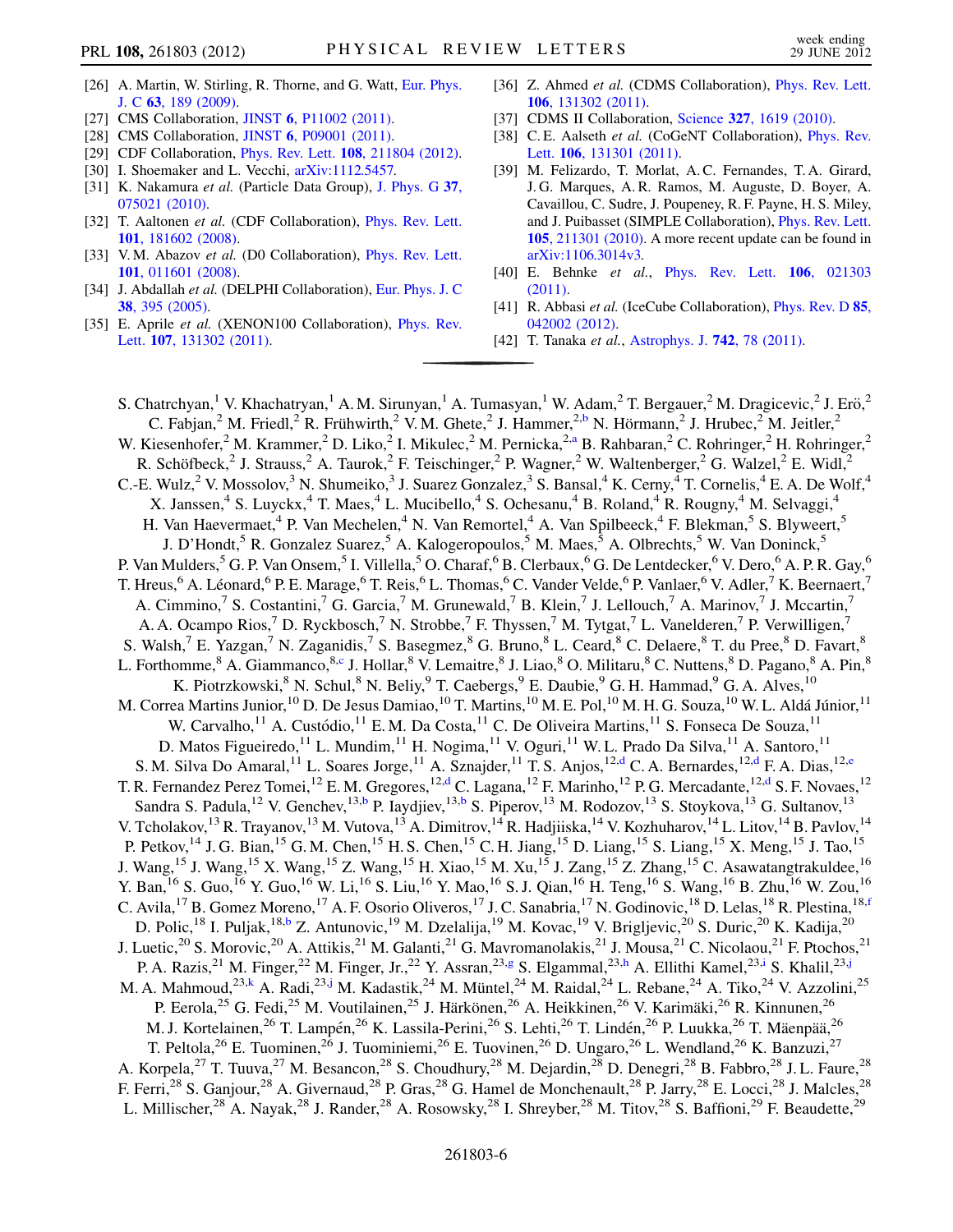- <span id="page-5-0"></span>[26] A. Martin, W. Stirling, R. Thorne, and G. Watt, [Eur. Phys.](http://dx.doi.org/10.1140/epjc/s10052-009-1072-5) J. C 63[, 189 \(2009\).](http://dx.doi.org/10.1140/epjc/s10052-009-1072-5)
- <span id="page-5-1"></span>[27] CMS Collaboration, **JINST 6**[, P11002 \(2011\)](http://dx.doi.org/10.1088/1748-0221/6/11/P11002).
- <span id="page-5-2"></span>[28] CMS Collaboration, **JINST 6**[, P09001 \(2011\)](http://dx.doi.org/10.1088/1748-0221/6/09/P09001).
- <span id="page-5-8"></span>[29] CDF Collaboration, *Phys. Rev. Lett.* **108**[, 211804 \(2012\).](http://dx.doi.org/10.1103/PhysRevLett.108.211804)
- <span id="page-5-3"></span>[30] I. Shoemaker and L. Vecchi, [arXiv:1112.5457.](http://arXiv.org/abs/1112.5457)
- <span id="page-5-4"></span>[31] K. Nakamura et al. (Particle Data Group), [J. Phys. G](http://dx.doi.org/10.1088/0954-3899/37/7A/075021) 37, [075021 \(2010\)](http://dx.doi.org/10.1088/0954-3899/37/7A/075021).
- <span id="page-5-5"></span>[32] T. Aaltonen et al. (CDF Collaboration), [Phys. Rev. Lett.](http://dx.doi.org/10.1103/PhysRevLett.101.181602) 101[, 181602 \(2008\)](http://dx.doi.org/10.1103/PhysRevLett.101.181602).
- <span id="page-5-6"></span>[33] V.M. Abazov et al. (D0 Collaboration), [Phys. Rev. Lett.](http://dx.doi.org/10.1103/PhysRevLett.101.011601) 101[, 011601 \(2008\)](http://dx.doi.org/10.1103/PhysRevLett.101.011601).
- <span id="page-5-7"></span>[34] J. Abdallah et al. (DELPHI Collaboration), [Eur. Phys. J. C](http://dx.doi.org/10.1140/epjc/s2004-02051-8) 38[, 395 \(2005\)](http://dx.doi.org/10.1140/epjc/s2004-02051-8).
- <span id="page-5-9"></span>[35] E. Aprile et al. (XENON100 Collaboration), *[Phys. Rev.](http://dx.doi.org/10.1103/PhysRevLett.107.131302)* Lett. 107[, 131302 \(2011\).](http://dx.doi.org/10.1103/PhysRevLett.107.131302)
- [36] Z. Ahmed et al. (CDMS Collaboration), [Phys. Rev. Lett.](http://dx.doi.org/10.1103/PhysRevLett.106.131302) 106[, 131302 \(2011\)](http://dx.doi.org/10.1103/PhysRevLett.106.131302).
- [37] CDMS II Collaboration, Science 327[, 1619 \(2010\).](http://dx.doi.org/10.1126/science.1186112)
- [38] C. E. Aalseth et al. (CoGeNT Collaboration), *[Phys. Rev.](http://dx.doi.org/10.1103/PhysRevLett.106.131301)* Lett. 106[, 131301 \(2011\).](http://dx.doi.org/10.1103/PhysRevLett.106.131301)
- [39] M. Felizardo, T. Morlat, A. C. Fernandes, T. A. Girard, J. G. Marques, A. R. Ramos, M. Auguste, D. Boyer, A. Cavaillou, C. Sudre, J. Poupeney, R. F. Payne, H. S. Miley, and J. Puibasset (SIMPLE Collaboration), [Phys. Rev. Lett.](http://dx.doi.org/10.1103/PhysRevLett.105.211301) 105[, 211301 \(2010\)](http://dx.doi.org/10.1103/PhysRevLett.105.211301). A more recent update can be found in [arXiv:1106.3014v3.](http://arXiv.org/abs/1106.3014v3)
- [40] E. Behnke et al., [Phys. Rev. Lett.](http://dx.doi.org/10.1103/PhysRevLett.106.021303) **106**, 021303 [\(2011\)](http://dx.doi.org/10.1103/PhysRevLett.106.021303).
- [41] R. Abbasi et al. (IceCube Collaboration), *[Phys. Rev. D](http://dx.doi.org/10.1103/PhysRevD.85.042002)* 85, [042002 \(2012\).](http://dx.doi.org/10.1103/PhysRevD.85.042002)
- <span id="page-5-10"></span>[42] T. Tanaka et al., [Astrophys. J.](http://dx.doi.org/10.1088/0004-637X/742/2/78) **742**, 78 (2011).

<span id="page-5-18"></span><span id="page-5-17"></span><span id="page-5-16"></span><span id="page-5-15"></span><span id="page-5-14"></span><span id="page-5-13"></span><span id="page-5-12"></span><span id="page-5-11"></span>S. Chatrchyan,<sup>1</sup> V. Khachatryan,<sup>1</sup> A. M. Sirunyan,<sup>1</sup> A. Tumasyan,<sup>1</sup> W. Adam,<sup>2</sup> T. Bergauer,<sup>2</sup> M. Dragicevic,<sup>2</sup> J. Erö,<sup>2</sup> C. Fabjan,<sup>2</sup> M. Friedl,<sup>2</sup> R. Frühwirth,<sup>2</sup> V. M. Ghete,<sup>2</sup> J. Hammer,<sup>2[,b](#page-14-0)</sup> N. Hörmann,<sup>2</sup> J. Hrubec,<sup>2</sup> M. Jeitler,<sup>2</sup> W. Kiesenhofer,<sup>2</sup> M. Kr[a](#page-14-1)mmer,<sup>2</sup> D. Liko,<sup>2</sup> I. Mikulec,<sup>2</sup> M. Pernicka,<sup>2,a</sup> B. Rahbaran,<sup>2</sup> C. Rohringer,<sup>2</sup> H. Rohringer,<sup>2</sup> R. Schöfbeck,<sup>2</sup> J. Strauss,<sup>2</sup> A. Taurok,<sup>2</sup> F. Teischinger,<sup>2</sup> P. Wagner,<sup>2</sup> W. Waltenberger,<sup>2</sup> G. Walzel,<sup>2</sup> E. Widl,<sup>2</sup> C.-E. Wulz,<sup>2</sup> V. Mossolov,<sup>3</sup> N. Shumeiko,<sup>3</sup> J. Suarez Gonzalez,<sup>3</sup> S. Bansal,<sup>4</sup> K. Cerny,<sup>4</sup> T. Cornelis,<sup>4</sup> E. A. De Wolf,<sup>4</sup> X. Janssen,<sup>4</sup> S. Luyckx,<sup>4</sup> T. Maes,<sup>4</sup> L. Mucibello,<sup>4</sup> S. Ochesanu,<sup>4</sup> B. Roland,<sup>4</sup> R. Rougny,<sup>4</sup> M. Selvaggi,<sup>4</sup> H. Van Haevermaet,<sup>4</sup> P. Van Mechelen,<sup>4</sup> N. Van Remortel,<sup>4</sup> A. Van Spilbeeck,<sup>4</sup> F. Blekman,<sup>5</sup> S. Blyweert,<sup>5</sup> J. D'Hondt,<sup>5</sup> R. Gonzalez Suarez,<sup>5</sup> A. Kalogeropoulos,<sup>5</sup> M. Maes,<sup>5</sup> A. Olbrechts,<sup>5</sup> W. Van Doninck,<sup>5</sup> P. Van Mulders,<sup>5</sup> G. P. Van Onsem,<sup>5</sup> I. Villella,<sup>5</sup> O. Charaf,<sup>6</sup> B. Clerbaux,<sup>6</sup> G. De Lentdecker,<sup>6</sup> V. Dero,<sup>6</sup> A. P. R. Gay,<sup>6</sup> T. Hreus,<sup>6</sup> A. Léonard,<sup>6</sup> P. E. Marage,<sup>6</sup> T. Reis,<sup>6</sup> L. Thomas,<sup>6</sup> C. Vander Velde,<sup>6</sup> P. Vanlaer,<sup>6</sup> V. Adler,<sup>7</sup> K. Beernaert,<sup>7</sup> A. Cimmino,<sup>7</sup> S. Costantini,<sup>7</sup> G. Garcia,<sup>7</sup> M. Grunewald,<sup>7</sup> B. Klein,<sup>7</sup> J. Lellouch,<sup>7</sup> A. Marinov,<sup>7</sup> J. Mccartin,<sup>7</sup> A. A. Ocampo Rios,<sup>7</sup> D. Ryckbosch,<sup>7</sup> N. Strobbe,<sup>7</sup> F. Thyssen,<sup>7</sup> M. Tytgat,<sup>7</sup> L. Vanelderen,<sup>7</sup> P. Verwilligen,<sup>7</sup> S. Walsh,<sup>7</sup> E. Yazgan,<sup>7</sup> N. Zaganidis,<sup>7</sup> S. Basegmez,<sup>8</sup> G. Bruno,<sup>8</sup> L. Ceard,<sup>8</sup> C. Delaere,<sup>8</sup> T. du Pree,<sup>8</sup> D. Favart,<sup>8</sup> L. Forthomme, <sup>8</sup> A. Giamman[c](#page-14-2)o, <sup>8,c</sup> J. Hollar, <sup>8</sup> V. Lemaitre, <sup>8</sup> J. Liao, <sup>8</sup> O. Militaru, <sup>8</sup> C. Nuttens, <sup>8</sup> D. Pagano, <sup>8</sup> A. Pin, <sup>8</sup> K. Piotrzkowski,<sup>8</sup> N. Schul,<sup>8</sup> N. Beliy,<sup>9</sup> T. Caebergs,<sup>9</sup> E. Daubie,<sup>9</sup> G. H. Hammad,<sup>9</sup> G. A. Alves,<sup>10</sup> M. Correa Martins Junior,<sup>10</sup> D. De Jesus Damiao,<sup>10</sup> T. Martins,<sup>10</sup> M. E. Pol,<sup>10</sup> M. H. G. Souza,<sup>10</sup> W. L. Aldá Júnior,<sup>11</sup> W. Carvalho,<sup>11</sup> A. Custódio,<sup>11</sup> E. M. Da Costa,<sup>11</sup> C. De Oliveira Martins,<sup>11</sup> S. Fonseca De Souza,<sup>11</sup> D. Matos Figueiredo,<sup>11</sup> L. Mundim,<sup>11</sup> H. Nogima,<sup>11</sup> V. Oguri,<sup>11</sup> W. L. Prado Da Silva,<sup>11</sup> A. Santoro,<sup>11</sup> S. M. Silva Do Amaral,<sup>11</sup> L. Soares Jorge,<sup>11</sup> A. Sznaj[d](#page-14-3)er,<sup>11</sup> T. S. Anjos,<sup>12[,d](#page-14-3)</sup> C. A. Bernardes,<sup>12,d</sup> F. A. Dias,<sup>12[,e](#page-14-4)</sup> T. R. Fernan[d](#page-14-3)ez Perez Tomei,<sup>12</sup> E. M. Gregores,<sup>12,d</sup> C. Lagana,<sup>12</sup> F. Marinho,<sup>12</sup> P. G. Mercadante,<sup>12,d</sup> S. F. Novaes,<sup>12</sup> Sandra S. Padula,<sup>12</sup> V. Genchev,<sup>13,[b](#page-14-0)</sup> P. Iaydjiev,<sup>13,b</sup> S. Piperov,<sup>13</sup> M. Rodozov,<sup>13</sup> S. Stoykova,<sup>13</sup> G. Sultanov,<sup>13</sup> V. Tcholakov,<sup>13</sup> R. Trayanov,<sup>13</sup> M. Vutova,<sup>13</sup> A. Dimitrov,<sup>14</sup> R. Hadjiiska,<sup>14</sup> V. Kozhuharov,<sup>14</sup> L. Litov,<sup>14</sup> B. Pavlov,<sup>14</sup> P. Petkov,<sup>14</sup> J. G. Bian,<sup>15</sup> G. M. Chen,<sup>15</sup> H. S. Chen,<sup>15</sup> C. H. Jiang,<sup>15</sup> D. Liang,<sup>15</sup> S. Liang,<sup>15</sup> X. Meng,<sup>15</sup> J. Tao,<sup>15</sup> J. Wang,<sup>15</sup> J. Wang,<sup>15</sup> X. Wang,<sup>15</sup> Z. Wang,<sup>15</sup> H. Xiao,<sup>15</sup> M. Xu,<sup>15</sup> J. Zang,<sup>15</sup> Z. Zhang,<sup>15</sup> C. Asawatangtrakuldee,<sup>16</sup> Y. Ban,<sup>16</sup> S. Guo,<sup>16</sup> Y. Guo,<sup>16</sup> W. Li,<sup>16</sup> S. Liu,<sup>16</sup> Y. Mao,<sup>16</sup> S. J. Qian,<sup>16</sup> H. Teng,<sup>16</sup> S. Wang,<sup>16</sup> B. Zhu,<sup>16</sup> W. Zou,<sup>16</sup> C. Avila,<sup>17</sup> B. Gomez Moreno,<sup>17</sup> A. F. Osorio Oliveros,<sup>17</sup> J. C. Sanabria,<sup>17</sup> N. Godinovic,<sup>18</sup> D. Lelas,<sup>18</sup> R. Plestina,<sup>18[,f](#page-14-5)</sup> D. Polic,<sup>18</sup> I. Puljak,<sup>18[,b](#page-14-0)</sup> Z. Antunovic,<sup>19</sup> M. Dzelalija,<sup>19</sup> M. Kovac,<sup>19</sup> V. Brigljevic,<sup>20</sup> S. Duric,<sup>20</sup> K. Kadija,<sup>20</sup> J. Luetic,<sup>20</sup> S. Morovic,<sup>20</sup> A. Attikis,<sup>21</sup> M. Galanti,<sup>21</sup> G. Mavromanolakis,<sup>21</sup> J. Mousa,<sup>21</sup> C. Nicolaou,<sup>21</sup> F. Ptochos,<sup>21</sup> P. A. Razis,<sup>21</sup> M. Finger,<sup>22</sup> M. Finger, Jr.,<sup>22</sup> Y. Assran,<sup>23[,g](#page-14-6)</sup> S. Elgammal,<sup>23[,h](#page-14-7)</sup> A. Ellithi Kamel,<sup>23[,i](#page-14-8)</sup> S. Khalil,<sup>23,[j](#page-14-9)</sup> M. A. Mahmoud,<sup>23[,k](#page-14-10)</sup> A. Radi,<sup>23,[j](#page-14-9)</sup> M. Kadastik,<sup>24</sup> M. Müntel,<sup>24</sup> M. Raidal,<sup>24</sup> L. Rebane,<sup>24</sup> A. Tiko,<sup>24</sup> V. Azzolini,<sup>25</sup> P. Eerola,<sup>25</sup> G. Fedi,<sup>25</sup> M. Voutilainen,<sup>25</sup> J. Härkönen,<sup>26</sup> A. Heikkinen,<sup>26</sup> V. Karimäki,<sup>26</sup> R. Kinnunen,<sup>26</sup> M. J. Kortelainen,<sup>26</sup> T. Lampén,<sup>26</sup> K. Lassila-Perini,<sup>26</sup> S. Lehti,<sup>26</sup> T. Lindén,<sup>26</sup> P. Luukka,<sup>26</sup> T. Mäenpää,<sup>26</sup> T. Peltola,<sup>26</sup> E. Tuominen,<sup>26</sup> J. Tuominiemi,<sup>26</sup> E. Tuovinen,<sup>26</sup> D. Ungaro,<sup>26</sup> L. Wendland,<sup>26</sup> K. Banzuzi,<sup>27</sup> A. Korpela,<sup>27</sup> T. Tuuva,<sup>27</sup> M. Besancon,<sup>28</sup> S. Choudhury,<sup>28</sup> M. Dejardin,<sup>28</sup> D. Denegri,<sup>28</sup> B. Fabbro,<sup>28</sup> J. L. Faure,<sup>28</sup> F. Ferri,<sup>28</sup> S. Ganjour,<sup>28</sup> A. Givernaud,<sup>28</sup> P. Gras,<sup>28</sup> G. Hamel de Monchenault,<sup>28</sup> P. Jarry,<sup>28</sup> E. Locci,<sup>28</sup> J. Malcles,<sup>28</sup> L. Millischer,<sup>28</sup> A. Nayak,<sup>28</sup> J. Rander,<sup>28</sup> A. Rosowsky,<sup>28</sup> I. Shreyber,<sup>28</sup> M. Titov,<sup>28</sup> S. Baffioni,<sup>29</sup> F. Beaudette,<sup>29</sup>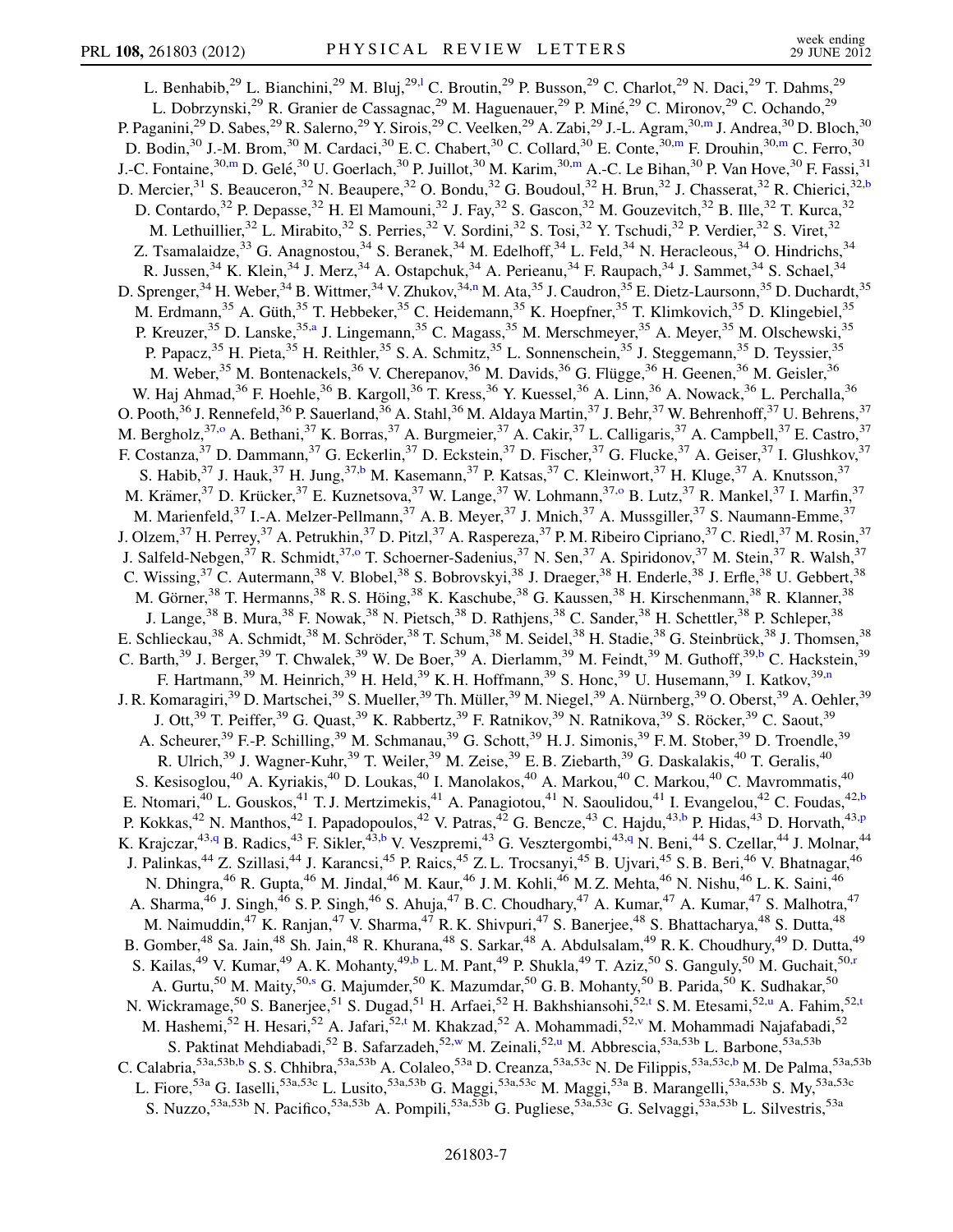<span id="page-6-9"></span><span id="page-6-8"></span><span id="page-6-7"></span><span id="page-6-6"></span><span id="page-6-5"></span><span id="page-6-4"></span><span id="page-6-3"></span><span id="page-6-2"></span><span id="page-6-1"></span><span id="page-6-0"></span>L. Benhabib,<sup>29</sup> L. Bianchini,<sup>29</sup> M. Bluj,<sup>29,1</sup> C. Broutin,<sup>29</sup> P. Busson,<sup>29</sup> C. Charlot,<sup>29</sup> N. Daci,<sup>29</sup> T. Dahms,<sup>29</sup> L. Dobrzynski,<sup>29</sup> R. Granier de Cassagnac,<sup>29</sup> M. Haguenauer,<sup>29</sup> P. Miné,<sup>29</sup> C. Mironov,<sup>29</sup> C. Ochando,<sup>29</sup> P. Paganini,<sup>29</sup> D. Sabes,<sup>29</sup> R. Salerno,<sup>29</sup> Y. Sirois,<sup>29</sup> C. Veelken,<sup>29</sup> A. Zabi,<sup>29</sup> J.-L. Agram,<sup>30[,m](#page-14-12)</sup> J. Andrea,<sup>30</sup> D. Bloch,<sup>30</sup> D. Bodin,<sup>30</sup> J.-M. Brom,<sup>30</sup> M. Cardaci,<sup>30</sup> E. C. Chabert,<sup>30</sup> C. Collard,<sup>30</sup> E. Conte,<sup>30[,m](#page-14-12)</sup> F. Drouhin,<sup>30,m</sup> C. Ferro,<sup>30</sup> J.-C. Fontaine,  $^{30,m}$  $^{30,m}$  $^{30,m}$  D. Gelé,  $^{30}$  U. Goerlach,  $^{30}$  P. Juillot,  $^{30}$  M. Kari[m](#page-14-12),  $^{30,m}$  A.-C. Le Bihan,  $^{30}$  P. Van Hove,  $^{30}$  F. Fassi,  $^{31}$ D. Mercier,<sup>31</sup> S. Beauceron,<sup>32</sup> N. Beaupere,<sup>32</sup> O. Bondu,<sup>32</sup> G. Boudoul,<sup>32</sup> H. Brun,<sup>32</sup> J. Chasserat,<sup>32</sup> R. Chierici,<sup>32[,b](#page-14-0)</sup> D. Contardo,<sup>32</sup> P. Depasse,<sup>32</sup> H. El Mamouni,<sup>32</sup> J. Fay,<sup>32</sup> S. Gascon,<sup>32</sup> M. Gouzevitch,<sup>32</sup> B. Ille,<sup>32</sup> T. Kurca,<sup>32</sup> M. Lethuillier,<sup>32</sup> L. Mirabito,<sup>32</sup> S. Perries,<sup>32</sup> V. Sordini,<sup>32</sup> S. Tosi,<sup>32</sup> Y. Tschudi,<sup>32</sup> P. Verdier,<sup>32</sup> S. Viret,<sup>32</sup> Z. Tsamalaidze,<sup>33</sup> G. Anagnostou,<sup>34</sup> S. Beranek,<sup>34</sup> M. Edelhoff,<sup>34</sup> L. Feld,<sup>34</sup> N. Heracleous,<sup>34</sup> O. Hindrichs,<sup>34</sup> R. Jussen,<sup>34</sup> K. Klein,<sup>34</sup> J. Merz,<sup>34</sup> A. Ostapchuk,<sup>34</sup> A. Perieanu,<sup>34</sup> F. Raupach,<sup>34</sup> J. Sammet,<sup>34</sup> S. Schael,<sup>34</sup> D. Spre[n](#page-14-13)ger,<sup>34</sup> H. Weber,<sup>34</sup> B. Wittmer,<sup>34</sup> V. Zhukov,<sup>34,n</sup> M. Ata,<sup>35</sup> J. Caudron,<sup>35</sup> E. Dietz-Laursonn,<sup>35</sup> D. Duchardt,<sup>35</sup> M. Erdmann,<sup>35</sup> A. Güth,<sup>35</sup> T. Hebbeker,<sup>35</sup> C. Heidemann,<sup>35</sup> K. Hoepfner,<sup>35</sup> T. Klimkovich,<sup>35</sup> D. Klingebiel,<sup>35</sup> P. Kreuzer,<sup>35</sup> D. Lanske,<sup>35[,a](#page-14-1)</sup> J. Lingemann,<sup>35</sup> C. Magass,<sup>35</sup> M. Merschmeyer,<sup>35</sup> A. Meyer,<sup>35</sup> M. Olschewski,<sup>35</sup> P. Papacz,<sup>35</sup> H. Pieta,<sup>35</sup> H. Reithler,<sup>35</sup> S. A. Schmitz,<sup>35</sup> L. Sonnenschein,<sup>35</sup> J. Steggemann,<sup>35</sup> D. Teyssier,<sup>35</sup> M. Weber,<sup>35</sup> M. Bontenackels,<sup>36</sup> V. Cherepanov,<sup>36</sup> M. Davids,<sup>36</sup> G. Flügge,<sup>36</sup> H. Geenen,<sup>36</sup> M. Geisler,<sup>36</sup> W. Haj Ahmad,<sup>36</sup> F. Hoehle,<sup>36</sup> B. Kargoll,<sup>36</sup> T. Kress,<sup>36</sup> Y. Kuessel,<sup>36</sup> A. Linn,<sup>36</sup> A. Nowack,<sup>36</sup> L. Perchalla,<sup>36</sup> O. Pooth, $^{36}$  J. Rennefeld, $^{36}$  P. Sauerland, $^{36}$  A. Stahl, $^{36}$  M. Aldaya Martin, $^{37}$  J. Behr, $^{37}$  W. Behrenhoff, $^{37}$  U. Behrens, $^{37}$ M. Bergholz,<sup>37[,o](#page-14-14)</sup> A. Bethani,<sup>37</sup> K. Borras,<sup>37</sup> A. Burgmeier,<sup>37</sup> A. Cakir,<sup>37</sup> L. Calligaris,<sup>37</sup> A. Campbell,<sup>37</sup> E. Castro,<sup>37</sup> F. Costanza,<sup>37</sup> D. Dammann,<sup>37</sup> G. Eckerlin,<sup>37</sup> D. Eckstein,<sup>37</sup> D. Fischer,<sup>37</sup> G. Flucke,<sup>37</sup> A. Geiser,<sup>37</sup> I. Glushkov,<sup>37</sup> S. Habib,<sup>37</sup> J. Hauk,<sup>37</sup> H. Jung,<sup>37[,b](#page-14-0)</sup> M. Kasemann,<sup>37</sup> P. Katsas,<sup>37</sup> C. Kleinwort,<sup>37</sup> H. Kluge,<sup>37</sup> A. Knutsson,<sup>37</sup> M. Krämer,<sup>37</sup> D. Krücker,<sup>37</sup> E. Kuznetsova,<sup>37</sup> W. Lange,<sup>37</sup> W. Lohmann,<sup>37[,o](#page-14-14)</sup> B. Lutz,<sup>37</sup> R. Mankel,<sup>37</sup> I. Marfin,<sup>37</sup> M. Marienfeld,<sup>37</sup> I.-A. Melzer-Pellmann,<sup>37</sup> A. B. Meyer,<sup>37</sup> J. Mnich,<sup>37</sup> A. Mussgiller,<sup>37</sup> S. Naumann-Emme,<sup>37</sup> J. Olzem,<sup>37</sup> H. Perrey,<sup>37</sup> A. Petrukhin,<sup>37</sup> D. Pitzl,<sup>37</sup> A. Raspereza,<sup>37</sup> P. M. Ribeiro Cipriano,<sup>37</sup> C. Riedl,<sup>37</sup> M. Rosin,<sup>37</sup> J. Salfeld-Nebgen,<sup>37</sup> R. Schmidt,<sup>37,[o](#page-14-14)</sup> T. Schoerner-Sadenius,<sup>37</sup> N. Sen,<sup>37</sup> A. Spiridonov,<sup>37</sup> M. Stein,<sup>37</sup> R. Walsh,<sup>37</sup> C. Wissing,<sup>37</sup> C. Autermann,<sup>38</sup> V. Blobel,<sup>38</sup> S. Bobrovskyi,<sup>38</sup> J. Draeger,<sup>38</sup> H. Enderle,<sup>38</sup> J. Erfle,<sup>38</sup> U. Gebbert,<sup>38</sup> M. Görner,<sup>38</sup> T. Hermanns,<sup>38</sup> R. S. Höing,<sup>38</sup> K. Kaschube,<sup>38</sup> G. Kaussen,<sup>38</sup> H. Kirschenmann,<sup>38</sup> R. Klanner,<sup>38</sup> J. Lange,<sup>38</sup> B. Mura,<sup>38</sup> F. Nowak,<sup>38</sup> N. Pietsch,<sup>38</sup> D. Rathjens,<sup>38</sup> C. Sander,<sup>38</sup> H. Schettler,<sup>38</sup> P. Schleper,<sup>38</sup> E. Schlieckau,<sup>38</sup> A. Schmidt,<sup>38</sup> M. Schröder,<sup>38</sup> T. Schum,<sup>38</sup> M. Seidel,<sup>38</sup> H. Stadie,<sup>38</sup> G. Steinbrück,<sup>38</sup> J. Thomsen,<sup>38</sup> C. Barth,<sup>39</sup> J. Berger,<sup>39</sup> T. Chwalek,<sup>39</sup> W. De Boer,<sup>39</sup> A. Dierlamm,<sup>39</sup> M. Feindt,<sup>39</sup> M. Guthoff,<sup>39[,b](#page-14-0)</sup> C. Hackstein,<sup>39</sup> F. Hartma[n](#page-14-13)n,<sup>39</sup> M. Heinrich,<sup>39</sup> H. Held,<sup>39</sup> K. H. Hoffmann,<sup>39</sup> S. Honc,<sup>39</sup> U. Husemann,<sup>39</sup> I. Katkov,<sup>39,n</sup> J. R. Komaragiri,<sup>39</sup> D. Martschei,<sup>39</sup> S. Mueller,<sup>39</sup> Th. Müller,<sup>39</sup> M. Niegel,<sup>39</sup> A. Nürnberg,<sup>39</sup> O. Oberst,<sup>39</sup> A. Oehler,<sup>39</sup> J. Ott,<sup>39</sup> T. Peiffer,<sup>39</sup> G. Quast,<sup>39</sup> K. Rabbertz,<sup>39</sup> F. Ratnikov,<sup>39</sup> N. Ratnikova,<sup>39</sup> S. Röcker,<sup>39</sup> C. Saout,<sup>39</sup> A. Scheurer,<sup>39</sup> F.-P. Schilling,<sup>39</sup> M. Schmanau,<sup>39</sup> G. Schott,<sup>39</sup> H. J. Simonis,<sup>39</sup> F. M. Stober,<sup>39</sup> D. Troendle,<sup>39</sup> R. Ulrich,<sup>39</sup> J. Wagner-Kuhr,<sup>39</sup> T. Weiler,<sup>39</sup> M. Zeise,<sup>39</sup> E. B. Ziebarth,<sup>39</sup> G. Daskalakis,<sup>40</sup> T. Geralis,<sup>40</sup> S. Kesisoglou,<sup>40</sup> A. Kyriakis,<sup>40</sup> D. Loukas,<sup>40</sup> I. Manolakos,<sup>40</sup> A. Markou,<sup>40</sup> C. Markou,<sup>40</sup> C. Mavrommatis,<sup>40</sup> E. Ntomari,<sup>40</sup> L. Gouskos,<sup>41</sup> T. J. Mertzimekis,<sup>41</sup> A. Panagiotou,<sup>41</sup> N. Saoulidou,<sup>41</sup> I. Evangelou,<sup>42</sup> C. Foudas,<sup>42,[b](#page-14-0)</sup> P. Kokkas,<sup>42</sup> N. Manthos,<sup>42</sup> I. Papadopoulos,<sup>42</sup> V. Patras,<sup>42</sup> G. Bencze,<sup>43</sup> C. Hajdu,<sup>43[,b](#page-14-0)</su[p](#page-14-15)> P. Hidas,<sup>43</sup> D. Horvath,<sup>43,p</sup> K. Krajczar,<sup>43,[q](#page-14-16)</sup> B. Radics,<sup>43</sup> F. Sikler,<sup>43,[b](#page-14-0)</sup> V. Veszpremi,<sup>43</sup> G. Vesztergombi,<sup>43[,q](#page-14-16)</sup> N. Beni,<sup>44</sup> S. Czellar,<sup>44</sup> J. Molnar,<sup>44</sup> J. Palinkas,<sup>44</sup> Z. Szillasi,<sup>44</sup> J. Karancsi,<sup>45</sup> P. Raics,<sup>45</sup> Z. L. Trocsanyi,<sup>45</sup> B. Ujvari,<sup>45</sup> S. B. Beri,<sup>46</sup> V. Bhatnagar,<sup>46</sup> N. Dhingra,<sup>46</sup> R. Gupta,<sup>46</sup> M. Jindal,<sup>46</sup> M. Kaur,<sup>46</sup> J. M. Kohli,<sup>46</sup> M. Z. Mehta,<sup>46</sup> N. Nishu,<sup>46</sup> L. K. Saini,<sup>46</sup> A. Sharma,<sup>46</sup> J. Singh,<sup>46</sup> S. P. Singh,<sup>46</sup> S. Ahuja,<sup>47</sup> B. C. Choudhary,<sup>47</sup> A. Kumar,<sup>47</sup> A. Kumar,<sup>47</sup> S. Malhotra,<sup>47</sup> M. Naimuddin, ${}^{47}$ K. Ranjan, ${}^{47}$ V. Sharma, ${}^{47}$ R. K. Shivpuri, ${}^{47}$ S. Banerjee, ${}^{48}$ S. Bhattacharya, ${}^{48}$ S. Dutta, ${}^{48}$ B. Gomber,<sup>48</sup> Sa. Jain,<sup>48</sup> Sh. Jain,<sup>48</sup> R. Khurana,<sup>48</sup> S. Sarkar,<sup>48</sup> A. Abdulsalam,<sup>49</sup> R. K. Choudhury,<sup>49</sup> D. Dutta,<sup>49</sup> S. Kailas,<sup>49</sup> V. Kumar,<sup>49</sup> A. K. Mohanty,<sup>49[,b](#page-14-0)</sup> L. M. Pant,<sup>49</sup> P. Shukla,<sup>49</sup> T. Aziz,<sup>50</sup> S. Ganguly,<sup>50</sup> M. Guchait,<sup>50[,r](#page-14-17)</sup> A. Gurtu,<sup>50</sup> M. Maity,<sup>50[,s](#page-14-18)</sup> G. Majumder,<sup>50</sup> K. Mazumdar,<sup>50</sup> G. B. Mohanty,<sup>50</sup> B. Parida,<sup>50</sup> K. Sudhakar,<sup>50</sup> N. Wickramage,<sup>50</sup> S. Banerjee,<sup>51</sup> S. Dugad,<sup>51</sup> H. Arfaei,<sup>52</sup> H. Bakhshiansohi,<sup>52,[t](#page-14-19)</sup> S. M. Etesami,<sup>52[,u](#page-14-20)</sup> A. Fahim,<sup>52,t</sup> M. Hashemi,<sup>52</sup> H. Hesari,<sup>52</sup> A. Jafari,<sup>52,[t](#page-14-19)</sup> M. Khakzad,<sup>52</sup> A. Mohammadi,<sup>52,[v](#page-14-21)</sup> M. Mohammadi Najafabadi,<sup>52</sup> S. Paktinat Mehdiabadi,<sup>52</sup> B. Safarzadeh,<sup>52,[w](#page-14-22)</s[u](#page-14-20)p> M. Zeinali,<sup>52,u</sup> M. Abbrescia,<sup>53a,53b</sup> L. Barbone,<sup>53a,53b</sup> C. Calabria,<sup>53a,53b[,b](#page-14-0)</sup> S. S. Chhi[b](#page-14-0)ra,<sup>53a,53b</sup> A. Colaleo,<sup>53a</sup> D. Creanza,<sup>53a,53c</sup> N. De Filippis,<sup>53a,53c,b</sup> M. De Palma,<sup>53a,53b</sup> L. Fiore,<sup>53a</sup> G. Iaselli,<sup>53a,53c</sup> L. Lusito,<sup>53a,53b</sup> G. Maggi,<sup>53a,53c</sup> M. Maggi,<sup>53a</sup> B. Marangelli,<sup>53a,53b</sup> S. My,<sup>53a,53c</sup> S. Nuzzo,<sup>53a,53b</sup> N. Pacifico,<sup>53a,53b</sup> A. Pompili,<sup>53a,53b</sup> G. Pugliese,<sup>53a,53c</sup> G. Selvaggi,<sup>53a,53b</sup> L. Silvestris,<sup>53a</sup>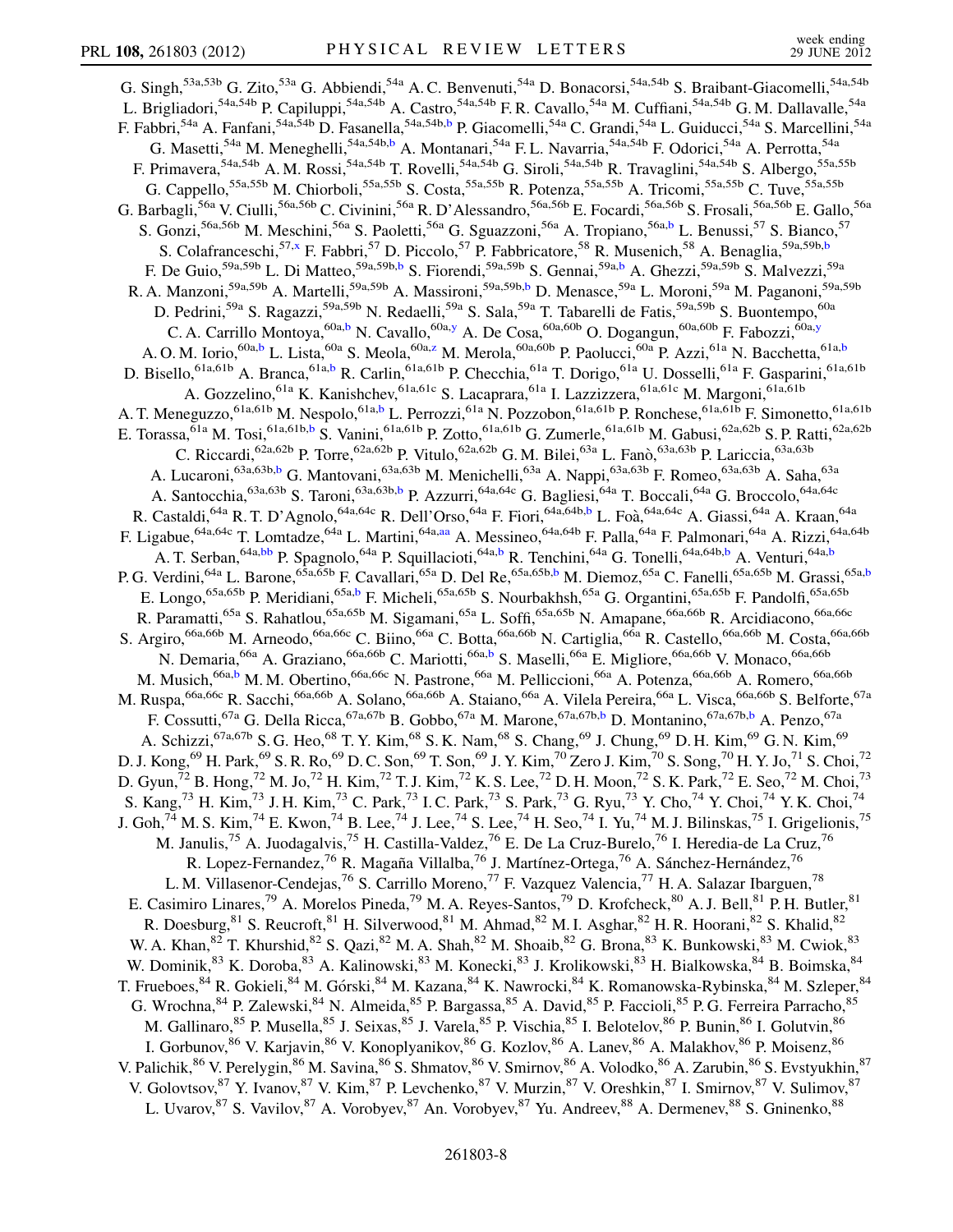<span id="page-7-4"></span><span id="page-7-3"></span><span id="page-7-2"></span><span id="page-7-1"></span><span id="page-7-0"></span>G. Singh,<sup>53a,53b</sup> G. Zito,<sup>53a</sup> G. Abbiendi,<sup>54a</sup> A. C. Benvenuti,<sup>54a</sup> D. Bonacorsi,<sup>54a,54b</sup> S. Braibant-Giacomelli,<sup>54a,54b</sup> L. Brigliadori,<sup>54a,54b</sup> P. Capiluppi,<sup>54a,54b</sup> A. Castro,<sup>54a,54b</sup> F. R. Cavallo,<sup>54a</sup> M. Cuffiani,<sup>54a,54b</sup> G. M. Dallavalle,<sup>54a</sup> F. Fa[b](#page-14-0)bri,<sup>54a</sup> A. Fanfani,<sup>54a,54b</sup> D. Fasanella,<sup>54a,54b,b</sup> P. Giacomelli,<sup>54a</sup> C. Grandi,<sup>54a</sup> L. Guiducci,<sup>54a</sup> S. Marcellini,<sup>54a</sup> G. Masetti,<sup>54a</sup> M. Meneghelli,<sup>54a,54b[,b](#page-14-0)</sup> A. Montanari,<sup>54a</sup> F. L. Navarria,<sup>54a,54b</sup> F. Odorici,<sup>54a</sup> A. Perrotta,<sup>54a</sup> F. Primavera,<sup>54a,54b</sup> A. M. Rossi,<sup>54a,54b</sup> T. Rovelli,<sup>54a,54b</sup> G. Siroli,<sup>54a,54b</sup> R. Travaglini,<sup>54a,54b</sup> S. Albergo,<sup>55a,55b</sup> G. Cappello,<sup>55a,55b</sup> M. Chiorboli,<sup>55a,55b</sup> S. Costa,<sup>55a,55b</sup> R. Potenza,<sup>55a,55b</sup> A. Tricomi,<sup>55a,55b</sup> C. Tuve,<sup>55a,55b</sup> G. Barbagli,<sup>56a</sup> V. Ciulli,<sup>56a,56b</sup> C. Civinini,<sup>56a</sup> R. D'Alessandro,<sup>56a,56b</sup> E. Focardi,<sup>56a,56b</sup> S. Frosali,<sup>56a,56b</sup> E. Gallo,<sup>56a</sup> S. Gonzi,<sup>56a,56b</sup> M. Meschini,<sup>56a</sup> S. Paoletti,<sup>56a</sup> G. Sguazzoni,<sup>56a</sup> A. Tropiano,<sup>56a[,b](#page-14-0)</sup> L. Benussi,<sup>57</sup> S. Bianco,<sup>57</sup> S. Colafranceschi,<sup>57[,x](#page-14-23)</sup> F. Fa[b](#page-14-0)bri,<sup>57</sup> D. Piccolo,<sup>57</sup> P. Fabbricatore,<sup>58</sup> R. Musenich,<sup>58</sup> A. Benaglia,<sup>59a,59b,b</sup> F. De Guio,<sup>59a,59[b](#page-14-0)</sup> L. Di Matteo,<sup>59a,59b,b</sup> S. Fiorendi,<sup>59a,59b</sup> S. Gennai,<sup>59a,b</sup> A. Ghezzi,<sup>59a,59b</sup> S. Malvezzi,<sup>59a</sup> R. A. Manzoni,<sup>59a,59b</sup> A. Martelli,<sup>59a,59b</sup> A. Massironi,<sup>59a,59b[,b](#page-14-0)</sup> D. Menasce,<sup>59a</sup> L. Moroni,<sup>59a</sup> M. Paganoni,<sup>59a</sup>,59b D. Pedrini,<sup>59a</sup> S. Ragazzi,<sup>59a,59b</sup> N. Redaelli,<sup>59a</sup> S. Sala,<sup>59a</sup> T. Tabarelli de Fatis,<sup>59a,59b</sup> S. Buontempo,<sup>60a</sup> C. A. Carrillo Montoya, <sup>60a,[b](#page-14-0)</sup> N. Cavallo, <sup>60a[,y](#page-14-24)</sup> A. De Cosa, <sup>60a,60b</sup> O. Dogangun, <sup>60a,60b</sup> F. Fabozzi, <sup>60a,y</sup> A. O. M. Iorio, <sup>60a[,b](#page-14-0)</sup> L. Lista, <sup>60a</sup> S. Meola, <sup>60a[,z](#page-14-25)</sup> M. Merola, <sup>60a, 60[b](#page-14-0)</sup> P. Paolucci, <sup>60a</sup> P. Azzi, <sup>61a</sup> N. Bacchetta, <sup>61a,b</sup> D. Bisello,<sup>61a,61[b](#page-14-0)</sup> A. Branca,<sup>61a,b</sup> R. Carlin,<sup>61a,61b</sup> P. Checchia,<sup>61a</sup> T. Dorigo,<sup>61a</sup> U. Dosselli,<sup>61a</sup> F. Gasparini,<sup>61a,61b</sup> A. Gozzelino,<sup>61a</sup> K. Kanishchev,<sup>61a,61c</sup> S. Lacaprara,<sup>61a</sup> I. Lazzizzera,<sup>61a,61c</sup> M. Margoni,<sup>61a,61b</sup> A. T. Meneguzzo,<sup>61a,61b</sup> M. Nespolo,<sup>61a[,b](#page-14-0)</sup> L. Perrozzi,<sup>61a</sup> N. Pozzobon,<sup>61a,61b</sup> P. Ronchese,<sup>61a,61b</sup> F. Simonetto,<sup>61a,61b</sup> E. Torassa, <sup>61a</sup> M. Tosi, <sup>61a,61[b](#page-14-0),b</sup> S. Vanini, <sup>61a,61b</sup> P. Zotto, <sup>61a,61b</sup> G. Zumerle, <sup>61a,61b</sup> M. Gabusi, <sup>62a,62b</sup> S. P. Ratti, <sup>62a,62b</sup> C. Riccardi, <sup>62a, 62b</sup> P. Torre, <sup>62a, 62b</sup> P. Vitulo, <sup>62a, 62b</sup> G. M. Bilei, <sup>63a</sup> L. Fanò, <sup>63a, 63b</sup> P. Lariccia, <sup>63a, 63b</sup> A. Lucaroni,<sup>63a,63b[,b](#page-14-0)</sup> G. Mantovani,<sup>63a,63b</sup> M. Menichelli,<sup>63a</sup> A. Nappi,<sup>63a,63b</sup> F. Romeo,<sup>63a,63b</sup> A. Saha,<sup>63a</sup> A. Santocchia, <sup>63a,63b</sup> S. Taroni, <sup>63a,63b[,b](#page-14-0)</sup> P. Azzurri, <sup>64a,64c</sup> G. Bagliesi, <sup>64a</sup> T. Boccali, <sup>64a</sup> G. Broccolo, <sup>64a,64c</sup> R. Castaldi, <sup>64a</sup> R. T. D'Agnolo, <sup>64a,64c</sup> R. Dell'Orso, <sup>64a</sup> F. Fiori, <sup>64a,64[b](#page-14-0),b</sup> L. Foà, <sup>64a,64c</sup> A. Giassi, <sup>64a</sup> A. Kraan, <sup>64a</sup> F. Ligabue,  $^{64a,64c}$  T. Lomtadze,  $^{64a}$  L. Martini, $^{64a,aa}$  $^{64a,aa}$  $^{64a,aa}$  A. Messineo,  $^{64a,64b}$  F. Palla,  $^{64a}$  F. Palmonari,  $^{64a}$  A. Rizzi,  $^{64a,64b}$ A. T. Serban,<sup>64a,[bb](#page-14-27)</sup> P. Spagnolo,<sup>64a</sup> P. Squillacioti,<sup>64a,[b](#page-14-0)</sup> R. Tenchini,<sup>64a</sup> G. Tonelli,<sup>64a,64b,b</sup> A. Venturi,<sup>64a,b</sup> A. P. G. Verdini,<sup>64a</sup> L. Barone,<sup>65a,65[b](#page-14-0)</sup> F. Cavallari,<sup>65a</sup> D. Del Re,<sup>65a,65b[,b](#page-14-0)</sup> M. Diemoz,<sup>65a</sup> C. Fanelli,<sup>65a,65b</sup> M. Grassi,<sup>65a,b</sup> E. Longo,<sup>65a,65b</sup> P. Meridiani,<sup>65a[,b](#page-14-0)</sup> F. Micheli,<sup>65a,65b</sup> S. Nourbakhsh,<sup>65a</sup> G. Organtini,<sup>65a,65b</sup> F. Pandolfi,<sup>65a,65b</sup> R. Paramatti,<sup>65a</sup> S. Rahatlou,<sup>65a,65b</sup> M. Sigamani,<sup>65a</sup> L. Soffi,<sup>65a,65b</sup> N. Amapane,<sup>66a,66b</sup> R. Arcidiacono,<sup>66a,66c</sup> S. Argiro,<sup>66a,66b</sup> M. Arneodo,<sup>66a,66c</sup> C. Biino,<sup>66a</sup> C. Botta,<sup>66a,66b</sup> N. Cartiglia,<sup>66a</sup> R. Castello,<sup>66a,66b</sup> M. Costa,<sup>66a,66b</sup> N. Demaria, <sup>66a</sup> A. Graziano, <sup>66a, 66[b](#page-14-0)</sup> C. Mariotti, <sup>66a, b</sup> S. Maselli, <sup>66a</sup> E. Migliore, <sup>66a, 66b</sup> V. Monaco, <sup>66a, 66b</sup> M. Musich,<sup>66a[,b](#page-14-0)</sup> M. M. Obertino,<sup>66a,66c</sup> N. Pastrone,<sup>66a</sup> M. Pelliccioni,<sup>66a</sup> A. Potenza,<sup>66a,66b</sup> A. Romero,<sup>66a,66b</sup> M. Ruspa,<sup>66a,66c</sup> R. Sacchi,<sup>66a,66b</sup> A. Solano,<sup>66a,66b</sup> A. Staiano,<sup>66a</sup> A. Vilela Pereira,<sup>66a</sup> L. Visca,<sup>66a,66b</sup> S. Belforte,<sup>67a</sup> F. Cossutti, <sup>67a</sup> G. Della Ricca, <sup>67a, 67[b](#page-14-0)</sup> B. Gobbo, <sup>67a</sup> M. Marone, <sup>67a, 67b, b</sup> D. Montanino, <sup>67a, 67b, b</sup> A. Penzo, <sup>67a</sup> A. Schizzi,<sup>67a,67b</sup> S. G. Heo,<sup>68</sup> T. Y. Kim,<sup>68</sup> S. K. Nam,<sup>68</sup> S. Chang,<sup>69</sup> J. Chung,<sup>69</sup> D. H. Kim,<sup>69</sup> G. N. Kim,<sup>69</sup> D. J. Kong, $^{69}$  H. Park, $^{69}$  S. R. Ro, $^{69}$  D. C. Son, $^{69}$  T. Son, $^{69}$  J. Y. Kim, $^{70}$  Zero J. Kim, $^{70}$  S. Song, $^{70}$  H. Y. Jo, $^{71}$  S. Choi, $^{72}$ D. Gyun,<sup>72</sup> B. Hong,<sup>72</sup> M. Jo,<sup>72</sup> H. Kim,<sup>72</sup> T. J. Kim,<sup>72</sup> K. S. Lee,<sup>72</sup> D. H. Moon,<sup>72</sup> S. K. Park,<sup>72</sup> E. Seo,<sup>72</sup> M. Choi,<sup>73</sup> S. Kang,<sup>73</sup> H. Kim,<sup>73</sup> J. H. Kim,<sup>73</sup> C. Park,<sup>73</sup> I. C. Park,<sup>73</sup> S. Park,<sup>73</sup> G. Ryu,<sup>73</sup> Y. Cho,<sup>74</sup> Y. Choi,<sup>74</sup> Y. K. Choi,<sup>74</sup> J. Goh,<sup>74</sup> M. S. Kim,<sup>74</sup> E. Kwon,<sup>74</sup> B. Lee,<sup>74</sup> J. Lee,<sup>74</sup> S. Lee,<sup>74</sup> H. Seo,<sup>74</sup> I. Yu,<sup>74</sup> M. J. Bilinskas,<sup>75</sup> I. Grigelionis,<sup>75</sup> M. Janulis,<sup>75</sup> A. Juodagalvis,<sup>75</sup> H. Castilla-Valdez,<sup>76</sup> E. De La Cruz-Burelo,<sup>76</sup> I. Heredia-de La Cruz,<sup>76</sup> R. Lopez-Fernandez,<sup>76</sup> R. Magaña Villalba,<sup>76</sup> J. Martínez-Ortega,<sup>76</sup> A. Sánchez-Hernández,<sup>76</sup> L. M. Villasenor-Cendejas,<sup>76</sup> S. Carrillo Moreno,<sup>77</sup> F. Vazquez Valencia,<sup>77</sup> H. A. Salazar Ibarguen,<sup>78</sup> E. Casimiro Linares,<sup>79</sup> A. Morelos Pineda,<sup>79</sup> M. A. Reyes-Santos,<sup>79</sup> D. Krofcheck,<sup>80</sup> A. J. Bell,<sup>81</sup> P. H. Butler,<sup>81</sup> R. Doesburg,  $81$  S. Reucroft,  $81$  H. Silverwood,  $81$  M. Ahmad,  $82$  M. I. Asghar,  $82$  H. R. Hoorani,  $82$  S. Khalid,  $82$  R. W. A. Khan,  $82$  T. Khurshid,  $82$  S. Qazi,  $82$  M. A. Shah,  $82$  M. Shoaib,  $82$  G. Brona,  $83$  K. Bunkowski,  $83$  M. Cwiok,  $83$ W. Dominik,<sup>83</sup> K. Doroba,<sup>83</sup> A. Kalinowski,<sup>83</sup> M. Konecki,<sup>83</sup> J. Krolikowski,<sup>83</sup> H. Bialkowska,<sup>84</sup> B. Boimska,<sup>84</sup> T. Frueboes,  $^{84}$  R. Gokieli,  $^{84}$  M. Górski,  $^{84}$  M. Kazana,  $^{84}$  K. Nawrocki,  $^{84}$  K. Romanowska-Rybinska,  $^{84}$  M. Szleper,  $^{84}$ G. Wrochna, <sup>84</sup> P. Zalewski, <sup>84</sup> N. Almeida, <sup>85</sup> P. Bargassa, <sup>85</sup> A. David, <sup>85</sup> P. Faccioli, <sup>85</sup> P. G. Ferreira Parracho, <sup>85</sup> M. Gallinaro, <sup>85</sup> P. Musella, <sup>85</sup> J. Seixas, <sup>85</sup> J. Varela, <sup>85</sup> P. Vischia, <sup>85</sup> I. Belotelov, <sup>86</sup> P. Bunin, <sup>86</sup> I. Golutvin, <sup>86</sup> I. Gorbunov,<sup>86</sup> V. Karjavin,<sup>86</sup> V. Konoplyanikov,<sup>86</sup> G. Kozlov,<sup>86</sup> A. Lanev,<sup>86</sup> A. Malakhov,<sup>86</sup> P. Moisenz,<sup>86</sup> V. Palichik,<sup>86</sup> V. Perelygin,<sup>86</sup> M. Savina,<sup>86</sup> S. Shmatov,<sup>86</sup> V. Smirnov,<sup>86</sup> A. Volodko,<sup>86</sup> A. Zarubin,<sup>86</sup> S. Evstyukhin,<sup>87</sup> V. Golovtsov, <sup>87</sup> Y. Ivanov, <sup>87</sup> V. Kim, <sup>87</sup> P. Levchenko, <sup>87</sup> V. Murzin, <sup>87</sup> V. Oreshkin, <sup>87</sup> I. Smirnov, <sup>87</sup> V. Sulimov, <sup>87</sup> L. Uvarov, <sup>87</sup> S. Vavilov, <sup>87</sup> A. Vorobyev, <sup>87</sup> An. Vorobyev, <sup>87</sup> Yu. Andreev, <sup>88</sup> A. Dermenev, <sup>88</sup> S. Gninenko, <sup>88</sup>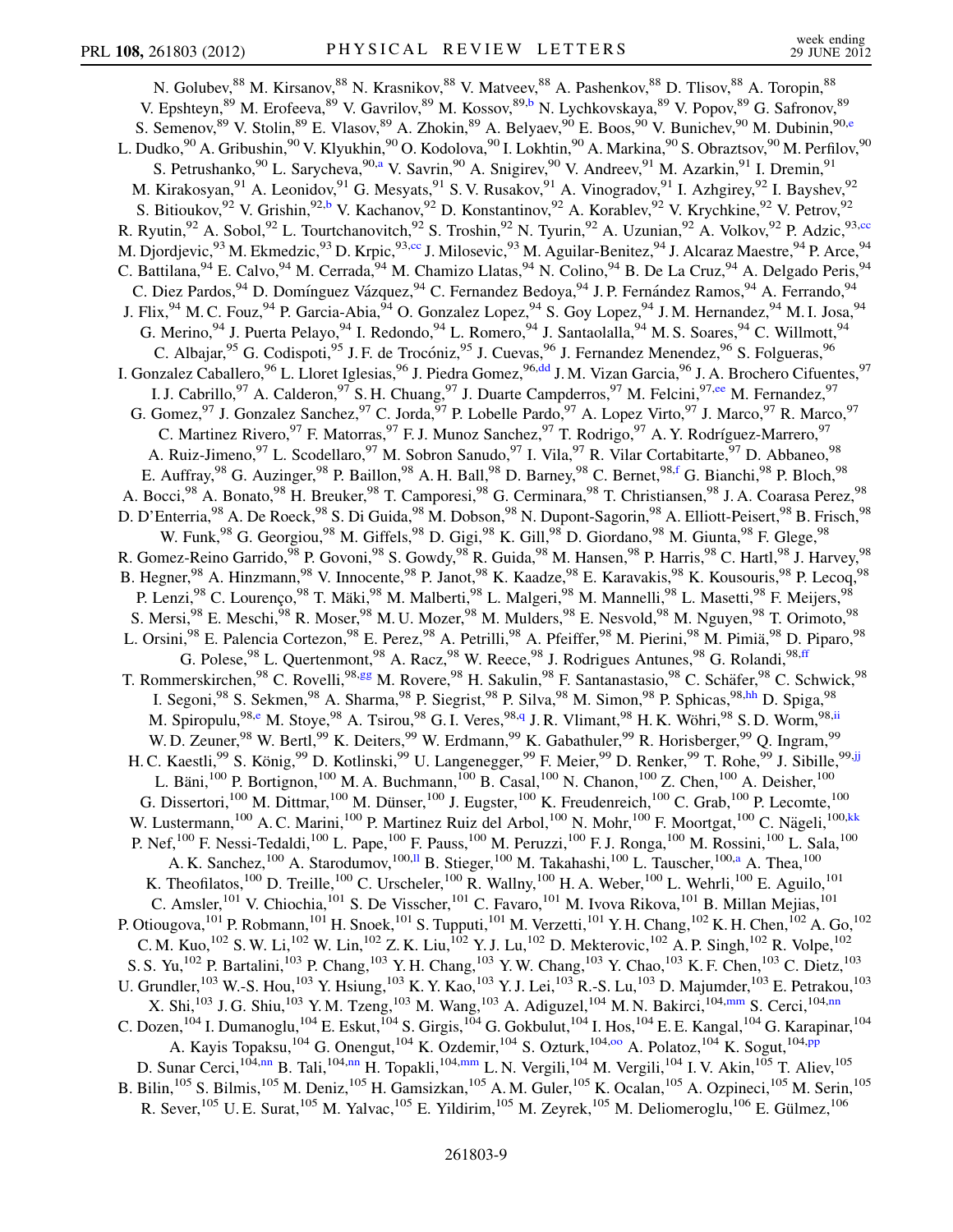<span id="page-8-11"></span><span id="page-8-10"></span><span id="page-8-9"></span><span id="page-8-8"></span><span id="page-8-7"></span><span id="page-8-6"></span><span id="page-8-5"></span><span id="page-8-4"></span><span id="page-8-3"></span><span id="page-8-2"></span><span id="page-8-1"></span><span id="page-8-0"></span>N. Golubev,  $88$  M. Kirsanov,  $88$  N. Krasnikov,  $88$  V. Matveev,  $88$  A. Pashenkov,  $88$  D. Tlisov,  $88$  A. Toropin,  $88$ V. Epshteyn,<sup>89</sup> M. Erofeeva,<sup>89</sup> V. Gavrilov,<sup>89</sup> M. Kossov,<sup>89[,b](#page-14-0)</sup> N. Lychkovskaya,<sup>89</sup> V. Popov,<sup>89</sup> G. Safronov,<sup>89</sup> S. Semenov, <sup>89</sup> V. Stolin, <sup>89</sup> E. Vlasov, <sup>89</sup> A. Zhokin, <sup>89</sup> A. Belyaev, <sup>90</sup> E. Boos, <sup>90</sup> V. Bunichev, <sup>90</sup> M. Dubinin, <sup>90[,e](#page-14-4)</sup> L. Dudko, $^{90}$  A. Gribushin, $^{90}$  V. Klyukhin, $^{90}$  O. Kodolova, $^{90}$  I. Lokhtin, $^{90}$  A. Markina, $^{90}$  S. Obraztsov, $^{90}$  M. Perfilov, $^{90}$ S. Petrush[a](#page-14-1)nko, <sup>90</sup> L. Sarycheva, <sup>90,a</sup> V. Savrin, <sup>90</sup> A. Snigirev, <sup>90</sup> V. Andreev, <sup>91</sup> M. Azarkin, <sup>91</sup> I. Dremin, <sup>91</sup> M. Kirakosyan,<sup>91</sup> A. Leonidov,<sup>91</sup> G. Mesyats,<sup>91</sup> S. V. Rusakov,<sup>91</sup> A. Vinogradov,<sup>91</sup> I. Azhgirey,<sup>92</sup> I. Bayshev,<sup>92</sup> S. Bitioukov, <sup>92</sup> V. Grishin, <sup>92[,b](#page-14-0)</sup> V. Kachanov, <sup>92</sup> D. Konstantinov, <sup>92</sup> A. Korablev, <sup>92</sup> V. Krychkine, <sup>92</sup> V. Petrov, <sup>92</sup> R. Ryutin,<sup>92</sup> A. Sobol,<sup>92</sup> L. Tourtchanovitch,<sup>92</sup> S. Troshin,<sup>92</sup> N. Tyurin,<sup>92</sup> A. Uzunian,<sup>92</sup> A. Volkov,<sup>92</sup> P. Adzic,<sup>93,[cc](#page-14-28)</sup> M. Djordjevic,<sup>93</sup> M. Ekmedzic,<sup>93</sup> D. Krpic,<sup>93[,cc](#page-14-28)</sup> J. Milosevic,<sup>93</sup> M. Aguilar-Benitez,<sup>94</sup> J. Alcaraz Maestre,<sup>94</sup> P. Arce,<sup>94</sup> C. Battilana, <sup>94</sup> E. Calvo, <sup>94</sup> M. Cerrada, <sup>94</sup> M. Chamizo Llatas, <sup>94</sup> N. Colino, <sup>94</sup> B. De La Cruz, <sup>94</sup> A. Delgado Peris, <sup>94</sup> C. Diez Pardos, <sup>94</sup> D. Domínguez Vázquez, <sup>94</sup> C. Fernandez Bedoya, <sup>94</sup> J. P. Fernández Ramos, <sup>94</sup> A. Ferrando, <sup>94</sup> J. Flix, <sup>94</sup> M. C. Fouz, <sup>94</sup> P. Garcia-Abia, <sup>94</sup> O. Gonzalez Lopez, <sup>94</sup> S. Goy Lopez, <sup>94</sup> J. M. Hernandez, <sup>94</sup> M. I. Josa, <sup>94</sup> G. Merino, <sup>94</sup> J. Puerta Pelayo, <sup>94</sup> I. Redondo, <sup>94</sup> L. Romero, <sup>94</sup> J. Santaolalla, <sup>94</sup> M. S. Soares, <sup>94</sup> C. Willmott, <sup>94</sup> C. Albajar,<sup>95</sup> G. Codispoti,<sup>95</sup> J. F. de Trocóniz,<sup>95</sup> J. Cuevas,<sup>96</sup> J. Fernandez Menendez,<sup>96</sup> S. Folgueras,<sup>96</sup> I. Gonzalez Caballero,<sup>96</sup> L. Lloret Iglesias,<sup>96</sup> J. Piedra Gomez,<sup>96[,dd](#page-14-29)</sup> J. M. Vizan Garcia,<sup>96</sup> J. A. Brochero Cifuentes,<sup>97</sup> I. J. Cabrillo, <sup>97</sup> A. Calderon, <sup>97</sup> S. H. Chuang, <sup>97</sup> J. Duarte Campderros, <sup>97</sup> M. Felcini, <sup>97[,ee](#page-14-30)</sup> M. Fernandez, <sup>97</sup> G. Gomez,<sup>97</sup> J. Gonzalez Sanchez,<sup>97</sup> C. Jorda,<sup>97</sup> P. Lobelle Pardo,<sup>97</sup> A. Lopez Virto,<sup>97</sup> J. Marco,<sup>97</sup> R. Marco,<sup>97</sup> C. Martinez Rivero, <sup>97</sup> F. Matorras, <sup>97</sup> F. J. Munoz Sanchez, <sup>97</sup> T. Rodrigo, <sup>97</sup> A. Y. Rodríguez-Marrero, <sup>97</sup> A. Ruiz-Jimeno, <sup>97</sup> L. Scodellaro, <sup>97</sup> M. Sobron Sanudo, <sup>97</sup> I. Vila, <sup>97</sup> R. Vilar Cortabitarte, <sup>97</sup> D. Abbaneo, <sup>98</sup> E. Auffray,<sup>98</sup> G. Auzinger,<sup>98</sup> P. Baillon,<sup>98</sup> A. H. Ball,<sup>98</sup> D. Barney,<sup>98</sup> C. Bernet,<sup>98[,f](#page-14-5)</sup> G. Bianchi,<sup>98</sup> P. Bloch,<sup>98</sup> A. Bocci, <sup>98</sup> A. Bonato, <sup>98</sup> H. Breuker, <sup>98</sup> T. Camporesi, <sup>98</sup> G. Cerminara, <sup>98</sup> T. Christiansen, <sup>98</sup> J. A. Coarasa Perez, <sup>98</sup> D. D'Enterria,<sup>98</sup> A. De Roeck,<sup>98</sup> S. Di Guida,<sup>98</sup> M. Dobson,<sup>98</sup> N. Dupont-Sagorin,<sup>98</sup> A. Elliott-Peisert,<sup>98</sup> B. Frisch,<sup>98</sup> W. Funk,<sup>98</sup> G. Georgiou,<sup>98</sup> M. Giffels,<sup>98</sup> D. Gigi,<sup>98</sup> K. Gill,<sup>98</sup> D. Giordano,<sup>98</sup> M. Giunta,<sup>98</sup> F. Glege,<sup>98</sup> R. Gomez-Reino Garrido,<sup>98</sup> P. Govoni,<sup>98</sup> S. Gowdy,<sup>98</sup> R. Guida,<sup>98</sup> M. Hansen,<sup>98</sup> P. Harris,<sup>98</sup> C. Hartl,<sup>98</sup> J. Harvey,<sup>98</sup> B. Hegner,<sup>98</sup> A. Hinzmann,<sup>98</sup> V. Innocente,<sup>98</sup> P. Janot,<sup>98</sup> K. Kaadze,<sup>98</sup> E. Karavakis,<sup>98</sup> K. Kousouris,<sup>98</sup> P. Lecoq,<sup>98</sup> P. Lenzi,<sup>98</sup> C. Lourenço,<sup>98</sup> T. Mäki,<sup>98</sup> M. Malberti,<sup>98</sup> L. Malgeri,<sup>98</sup> M. Mannelli,<sup>98</sup> L. Masetti,<sup>98</sup> F. Meijers,<sup>98</sup> S. Mersi,  $98$  E. Meschi,  $98$  R. Moser,  $98$  M. U. Mozer,  $98$  M. Mulders,  $98$  E. Nesvold,  $98$  M. Nguyen,  $98$  T. Orimoto,  $98$ L. Orsini,<sup>98</sup> E. Palencia Cortezon,<sup>98</sup> E. Perez,<sup>98</sup> A. Petrilli,<sup>98</sup> A. Pfeiffer,<sup>98</sup> M. Pierini,<sup>98</sup> M. Pimiä,<sup>98</sup> D. Piparo,<sup>98</sup> G. Polese, <sup>98</sup> L. Quertenmont, <sup>98</sup> A. Racz, <sup>98</sup> W. Reece, <sup>98</sup> J. Rodrigues Antunes, <sup>98</sup> G. Rolandi, <sup>98, [ff](#page-14-31)</sup> T. Rommerskirchen,<sup>98</sup> C. Rovelli,<sup>98[,gg](#page-14-32)</sup> M. Rovere,<sup>98</sup> H. Sakulin,<sup>98</sup> F. Santanastasio,<sup>98</sup> C. Schäfer,<sup>98</sup> C. Schwick,<sup>98</sup> I. Segoni,<sup>98</sup> S. Sekmen,<sup>98</sup> A. Sharma,<sup>98</sup> P. Siegrist,<sup>98</sup> P. Silva,<sup>98</sup> M. Simon,<sup>98</sup> P. Sphicas,<sup>98[,hh](#page-14-33)</sup> D. Spiga,<sup>98</sup> M. Spiropulu,<sup>98[,e](#page-14-4)</sup> M. Stoye,<sup>98</sup> A. Tsirou,<sup>98</sup> G. I. Veres,<sup>98,[q](#page-14-16)</sup> J. R. Vlimant,<sup>98</sup> H. K. Wöhri,<sup>98</sup> S. D. Worm,<sup>98,[ii](#page-14-34)</sup> W. D. Zeuner, <sup>98</sup> W. Bertl, <sup>99</sup> K. Deiters, <sup>99</sup> W. Erdmann, <sup>99</sup> K. Gabathuler, <sup>99</sup> R. Horisberger, <sup>99</sup> Q. Ingram, <sup>99</sup> H. C. Kaestli,<sup>99</sup> S. König,<sup>99</sup> D. Kotlinski,<sup>99</sup> U. Langenegger,<sup>99</sup> F. Meier,<sup>99</sup> D. Renker,<sup>99</sup> T. Rohe,<sup>99</sup> J. Sibille,<sup>99[,jj](#page-15-0)</sup> L. Bäni,<sup>100</sup> P. Bortignon,<sup>100</sup> M. A. Buchmann,<sup>100</sup> B. Casal,<sup>100</sup> N. Chanon,<sup>100</sup> Z. Chen,<sup>100</sup> A. Deisher,<sup>100</sup> G. Dissertori,<sup>100</sup> M. Dittmar,<sup>100</sup> M. Dünser,<sup>100</sup> J. Eugster,<sup>100</sup> K. Freudenreich,<sup>100</sup> C. Grab,<sup>100</sup> P. Lecomte,<sup>100</sup> W. Lustermann,<sup>100</sup> A. C. Marini,<sup>100</sup> P. Martinez Ruiz del Arbol,<sup>100</sup> N. Mohr,<sup>100</sup> F. Moortgat,<sup>100</sup> C. Nägeli,<sup>100,[kk](#page-15-1)</sup> P. Nef,<sup>100</sup> F. Nessi-Tedaldi,<sup>100</sup> L. Pape,<sup>100</sup> F. Pauss,<sup>100</sup> M. Peruzzi,<sup>100</sup> F. J. Ronga,<sup>100</sup> M. Rossini,<sup>100</sup> L. Sala,<sup>100</sup> A. K. S[a](#page-14-1)nchez,  $^{100}$  A. Starodumov,  $^{100,11}$  B. Stieger,  $^{100}$  M. Takahashi,  $^{100}$  L. Tauscher,  $^{100,a}$  A. Thea,  $^{100}$ K. Theofilatos,  $^{100}$  D. Treille,  $^{100}$  C. Urscheler,  $^{100}$  R. Wallny,  $^{100}$  H. A. Weber,  $^{100}$  L. Wehrli,  $^{100}$  E. Aguilo,  $^{101}$ C. Amsler,<sup>101</sup> V. Chiochia,<sup>101</sup> S. De Visscher,<sup>101</sup> C. Favaro,<sup>101</sup> M. Ivova Rikova,<sup>101</sup> B. Millan Mejias,<sup>101</sup> P. Otiougova, <sup>101</sup> P. Robmann, <sup>101</sup> H. Snoek, <sup>101</sup> S. Tupputi, <sup>101</sup> M. Verzetti, <sup>101</sup> Y. H. Chang, <sup>102</sup> K. H. Chen, <sup>102</sup> A. Go, <sup>102</sup> C. M. Kuo,<sup>102</sup> S. W. Li,<sup>102</sup> W. Lin,<sup>102</sup> Z. K. Liu,<sup>102</sup> Y. J. Lu,<sup>102</sup> D. Mekterovic,<sup>102</sup> A. P. Singh,<sup>102</sup> R. Volpe,<sup>102</sup> S. S. Yu,<sup>102</sup> P. Bartalini,<sup>103</sup> P. Chang,<sup>103</sup> Y. H. Chang,<sup>103</sup> Y. W. Chang,<sup>103</sup> Y. Chao,<sup>103</sup> K. F. Chen,<sup>103</sup> C. Dietz,<sup>103</sup> U. Grundler,<sup>103</sup> W.-S. Hou,<sup>103</sup> Y. Hsiung,<sup>103</sup> K. Y. Kao,<sup>103</sup> Y. J. Lei,<sup>103</sup> R.-S. Lu,<sup>103</sup> D. Majumder,<sup>103</sup> E. Petrakou,<sup>103</sup> X. Shi,<sup>103</sup> J. G. Shiu,<sup>103</sup> Y. M. Tzeng,<sup>103</sup> M. Wang,<sup>103</sup> A. Adiguzel,<sup>104</sup> M. N. Bakirci,<sup>104,[mm](#page-15-3)</sup> S. Cerci,<sup>104,[nn](#page-15-4)</sup> C. Dozen,  $^{104}$  I. Dumanoglu,  $^{104}$  E. Eskut,  $^{104}$  S. Girgis,  $^{104}$  G. Gokbulut,  $^{104}$  I. Hos,  $^{104}$  E. E. Kangal,  $^{104}$  G. Karapinar,  $^{104}$ A. Kayis Topaksu, <sup>104</sup> G. Onengut, <sup>104</sup> K. Ozdemir, <sup>104</sup> S. Ozturk, <sup>104,00</sup> A. Polatoz, <sup>104</sup> K. Sogut, <sup>104[,pp](#page-15-6)</sup> D. Sunar Cerci,<sup>104,[nn](#page-15-4)</sup> B. Tali,<sup>104,nn</sup> H. Topakli,<sup>104,[mm](#page-15-3)</sup> L. N. Vergili,<sup>104</sup> M. Vergili,<sup>104</sup> I. V. Akin,<sup>105</sup> T. Aliev,<sup>105</sup> B. Bilin,<sup>105</sup> S. Bilmis,<sup>105</sup> M. Deniz,<sup>105</sup> H. Gamsizkan,<sup>105</sup> A. M. Guler,<sup>105</sup> K. Ocalan,<sup>105</sup> A. Ozpineci,<sup>105</sup> M. Serin,<sup>105</sup> R. Sever,<sup>105</sup> U. E. Surat,<sup>105</sup> M. Yalvac,<sup>105</sup> E. Yildirim,<sup>105</sup> M. Zeyrek,<sup>105</sup> M. Deliomeroglu,<sup>106</sup> E. Gülmez,<sup>106</sup>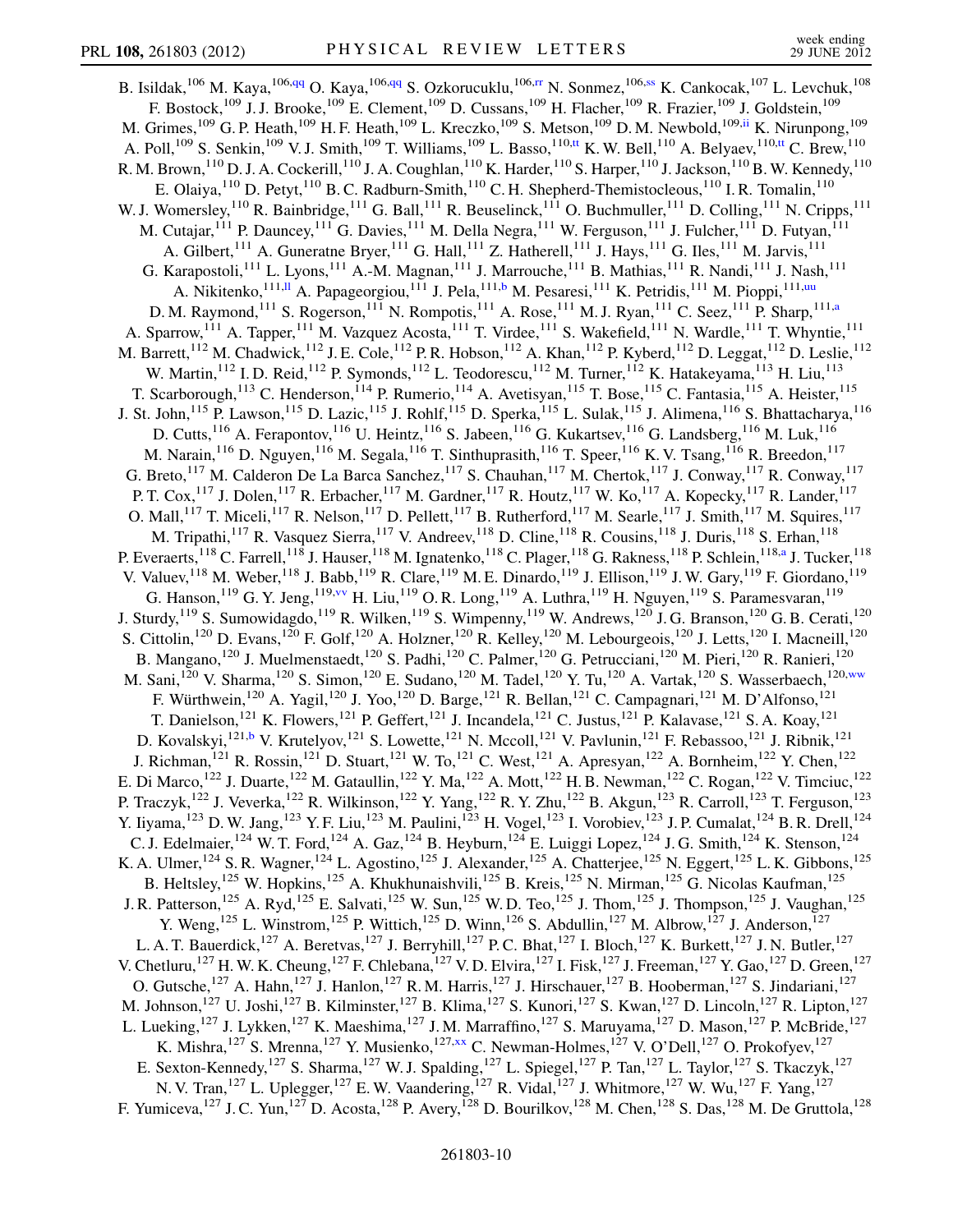<span id="page-9-5"></span><span id="page-9-4"></span><span id="page-9-3"></span><span id="page-9-2"></span><span id="page-9-1"></span><span id="page-9-0"></span>B. Isildak,<sup>106</sup> M. Kaya,<sup>106[,qq](#page-15-7)</sup> O. Kaya,<sup>106,[qq](#page-15-7)</sup> S. Ozkorucuklu,<sup>106,[rr](#page-15-8)</sup> N. Sonmez,<sup>106[,ss](#page-15-9)</sup> K. Cankocak,<sup>107</sup> L. Levchuk,<sup>108</sup> F. Bostock,<sup>109</sup> J. J. Brooke,<sup>109</sup> E. Clement,<sup>109</sup> D. Cussans,<sup>109</sup> H. Flacher,<sup>109</sup> R. Frazier,<sup>109</sup> J. Goldstein,<sup>109</sup> M. Grimes,<sup>109</sup> G. P. Heath,<sup>109</sup> H. F. Heath,<sup>109</sup> L. Kreczko,<sup>109</sup> S. Metson,<sup>109</sup> D. M. Newbold,<sup>109[,ii](#page-14-34)</sup> K. Nirunpong,<sup>109</sup> A. Poll,<sup>109</sup> S. Senkin,<sup>109</sup> V. J. Smith,<sup>109</sup> T. Williams,<sup>109</sup> L. Basso,<sup>110[,tt](#page-15-10)</sup> K. W. Bell,<sup>110</sup> A. Belyaev,<sup>110,[tt](#page-15-10)</sup> C. Brew,<sup>110</sup> R. M. Brown,<sup>110</sup> D. J. A. Cockerill,<sup>110</sup> J. A. Coughlan,<sup>110</sup> K. Harder,<sup>110</sup> S. Harper,<sup>110</sup> J. Jackson,<sup>110</sup> B. W. Kennedy,<sup>110</sup> E. Olaiya,  $^{110}$  D. Petyt,  $^{110}$  B. C. Radburn-Smith,  $^{110}$  C. H. Shepherd-Themistocleous,  $^{110}$  I. R. Tomalin,  $^{110}$ W. J. Womersley,<sup>110</sup> R. Bainbridge,<sup>111</sup> G. Ball,<sup>111</sup> R. Beuselinck,<sup>111</sup> O. Buchmuller,<sup>111</sup> D. Colling,<sup>111</sup> N. Cripps,<sup>111</sup> M. Cutajar,<sup>111</sup> P. Dauncey,<sup>111</sup> G. Davies,<sup>111</sup> M. Della Negra,<sup>111</sup> W. Ferguson,<sup>111</sup> J. Fulcher,<sup>111</sup> D. Futyan,<sup>111</sup> A. Gilbert,<sup>111</sup> A. Guneratne Bryer,<sup>111</sup> G. Hall,<sup>111</sup> Z. Hatherell,<sup>111</sup> J. Hays,<sup>111</sup> G. Iles,<sup>111</sup> M. Jarvis,<sup>111</sup> G. Karapostoli,<sup>111</sup> L. Lyons,<sup>111</sup> A.-M. Magnan,<sup>111</sup> J. Marrouche,<sup>111</sup> B. Mathias,<sup>111</sup> R. Nandi,<sup>111</sup> J. Nash,<sup>111</sup> A. Nikitenko,<sup>111,[ll](#page-15-2)</sup> A. Papageorgiou,<sup>111</sup> J. Pela,<sup>111[,b](#page-14-0)</sup> M. Pesaresi,<sup>111</sup> K. Petridis,<sup>111</sup> M. Pioppi,<sup>111,[uu](#page-15-11)</sup> D. M. Raymond,<sup>111</sup> S. Rogerson,<sup>111</sup> N. Rompotis,<sup>111</sup> A. Rose,<sup>111</sup> M. J. Ryan,<sup>111</sup> C. Seez,<sup>111</sup> P. Sharp,<sup>111[,a](#page-14-1)</sup> A. Sparrow,<sup>111</sup> A. Tapper,<sup>111</sup> M. Vazquez Acosta,<sup>111</sup> T. Virdee,<sup>111</sup> S. Wakefield,<sup>111</sup> N. Wardle,<sup>111</sup> T. Whyntie,<sup>111</sup> M. Barrett,<sup>112</sup> M. Chadwick,<sup>112</sup> J. E. Cole,<sup>112</sup> P. R. Hobson,<sup>112</sup> A. Khan,<sup>112</sup> P. Kyberd,<sup>112</sup> D. Leggat,<sup>112</sup> D. Leslie,<sup>112</sup> W. Martin,<sup>112</sup> I. D. Reid,<sup>112</sup> P. Symonds,<sup>112</sup> L. Teodorescu,<sup>112</sup> M. Turner,<sup>112</sup> K. Hatakeyama,<sup>113</sup> H. Liu,<sup>113</sup> T. Scarborough,<sup>113</sup> C. Henderson,<sup>114</sup> P. Rumerio,<sup>114</sup> A. Avetisyan,<sup>115</sup> T. Bose,<sup>115</sup> C. Fantasia,<sup>115</sup> A. Heister,<sup>115</sup> J. St. John,<sup>115</sup> P. Lawson,<sup>115</sup> D. Lazic,<sup>115</sup> J. Rohlf,<sup>115</sup> D. Sperka,<sup>115</sup> L. Sulak,<sup>115</sup> J. Alimena,<sup>116</sup> S. Bhattacharya,<sup>116</sup> D. Cutts, <sup>116</sup> A. Ferapontov, <sup>116</sup> U. Heintz, <sup>116</sup> S. Jabeen, <sup>116</sup> G. Kukartsev, <sup>116</sup> G. Landsberg, <sup>116</sup> M. Luk, <sup>116</sup> M. Narain,<sup>116</sup> D. Nguyen,<sup>116</sup> M. Segala,<sup>116</sup> T. Sinthuprasith,<sup>116</sup> T. Speer,<sup>116</sup> K. V. Tsang,<sup>116</sup> R. Breedon,<sup>117</sup> G. Breto,  $^{117}$  M. Calderon De La Barca Sanchez,  $^{117}$  S. Chauhan,  $^{117}$  M. Chertok,  $^{117}$  J. Conway,  $^{117}$  R. Conway,  $^{117}$ P. T. Cox, <sup>117</sup> J. Dolen, <sup>117</sup> R. Erbacher, <sup>117</sup> M. Gardner, <sup>117</sup> R. Houtz, <sup>117</sup> W. Ko, <sup>117</sup> A. Kopecky, <sup>117</sup> R. Lander, <sup>117</sup> O. Mall,<sup>117</sup> T. Miceli,<sup>117</sup> R. Nelson,<sup>117</sup> D. Pellett,<sup>117</sup> B. Rutherford,<sup>117</sup> M. Searle,<sup>117</sup> J. Smith,<sup>117</sup> M. Squires,<sup>117</sup> M. Tripathi,<sup>117</sup> R. Vasquez Sierra,<sup>117</sup> V. Andreev,<sup>118</sup> D. Cline,<sup>118</sup> R. Cousins,<sup>118</sup> J. Duris,<sup>118</sup> S. Erhan,<sup>118</sup> P. Ever[a](#page-14-1)erts,<sup>118</sup> C. Farrell,<sup>118</sup> J. Hauser,<sup>118</sup> M. Ignatenko,<sup>118</sup> C. Plager,<sup>118</sup> G. Rakness,<sup>118</sup> P. Schlein,<sup>118,a</sup> J. Tucker,<sup>118</sup> V. Valuev, <sup>118</sup> M. Weber, <sup>118</sup> J. Babb, <sup>119</sup> R. Clare, <sup>119</sup> M. E. Dinardo, <sup>119</sup> J. Ellison, <sup>119</sup> J. W. Gary, <sup>119</sup> F. Giordano, <sup>119</sup> G. Hanson,  $^{119}$  G. Y. Jeng,  $^{119, \text{vv}}$  $^{119, \text{vv}}$  $^{119, \text{vv}}$  H. Liu,  $^{119}$  O. R. Long,  $^{119}$  A. Luthra,  $^{119}$  H. Nguyen,  $^{119}$  S. Paramesvaran,  $^{119}$ J. Sturdy,<sup>119</sup> S. Sumowidagdo,<sup>119</sup> R. Wilken,<sup>119</sup> S. Wimpenny,<sup>119</sup> W. Andrews,<sup>120</sup> J. G. Branson,<sup>120</sup> G. B. Cerati,<sup>120</sup> S. Cittolin,<sup>120</sup> D. Evans,<sup>120</sup> F. Golf,<sup>120</sup> A. Holzner,<sup>120</sup> R. Kelley,<sup>120</sup> M. Lebourgeois,<sup>120</sup> J. Letts,<sup>120</sup> I. Macneill,<sup>120</sup> B. Mangano,<sup>120</sup> J. Muelmenstaedt,<sup>120</sup> S. Padhi,<sup>120</sup> C. Palmer,<sup>120</sup> G. Petrucciani,<sup>120</sup> M. Pieri,<sup>120</sup> R. Ranieri,<sup>120</sup> M. Sani,<sup>120</sup> V. Sharma,<sup>120</sup> S. Simon,<sup>120</sup> E. Sudano,<sup>120</sup> M. Tadel,<sup>120</sup> Y. Tu,<sup>120</sup> A. Vartak,<sup>120</sup> S. Wasserbaech,<sup>120[,ww](#page-15-13)</sup> F. Würthwein,<sup>120</sup> A. Yagil,<sup>120</sup> J. Yoo,<sup>120</sup> D. Barge,<sup>121</sup> R. Bellan,<sup>121</sup> C. Campagnari,<sup>121</sup> M. D'Alfonso,<sup>121</sup> T. Danielson,<sup>121</sup> K. Flowers,<sup>121</sup> P. Geffert,<sup>121</sup> J. Incandela,<sup>121</sup> C. Justus,<sup>121</sup> P. Kalavase,<sup>121</sup> S. A. Koay,<sup>121</sup> D. Kovalskyi,<sup>121,[b](#page-14-0)</sup> V. Krutelyov,<sup>121</sup> S. Lowette,<sup>121</sup> N. Mccoll,<sup>121</sup> V. Pavlunin,<sup>121</sup> F. Rebassoo,<sup>121</sup> J. Ribnik,<sup>121</sup> J. Richman,<sup>121</sup> R. Rossin,<sup>121</sup> D. Stuart,<sup>121</sup> W. To,<sup>121</sup> C. West,<sup>121</sup> A. Apresyan,<sup>122</sup> A. Bornheim,<sup>122</sup> Y. Chen,<sup>122</sup> E. Di Marco,<sup>122</sup> J. Duarte,<sup>122</sup> M. Gataullin,<sup>122</sup> Y. Ma,<sup>122</sup> A. Mott,<sup>122</sup> H. B. Newman,<sup>122</sup> C. Rogan,<sup>122</sup> V. Timciuc,<sup>122</sup> P. Traczyk,<sup>122</sup> J. Veverka,<sup>122</sup> R. Wilkinson,<sup>122</sup> Y. Yang,<sup>122</sup> R. Y. Zhu,<sup>122</sup> B. Akgun,<sup>123</sup> R. Carroll,<sup>123</sup> T. Ferguson,<sup>123</sup> Y. Iiyama,<sup>123</sup> D. W. Jang,<sup>123</sup> Y. F. Liu,<sup>123</sup> M. Paulini,<sup>123</sup> H. Vogel,<sup>123</sup> I. Vorobiev,<sup>123</sup> J. P. Cumalat,<sup>124</sup> B. R. Drell,<sup>124</sup> C. J. Edelmaier,<sup>124</sup> W. T. Ford,<sup>124</sup> A. Gaz,<sup>124</sup> B. Heyburn,<sup>124</sup> E. Luiggi Lopez,<sup>124</sup> J. G. Smith,<sup>124</sup> K. Stenson,<sup>124</sup> K. A. Ulmer,<sup>124</sup> S. R. Wagner,<sup>124</sup> L. Agostino,<sup>125</sup> J. Alexander,<sup>125</sup> A. Chatterjee,<sup>125</sup> N. Eggert,<sup>125</sup> L. K. Gibbons,<sup>125</sup> B. Heltsley,<sup>125</sup> W. Hopkins,<sup>125</sup> A. Khukhunaishvili,<sup>125</sup> B. Kreis,<sup>125</sup> N. Mirman,<sup>125</sup> G. Nicolas Kaufman,<sup>125</sup> J. R. Patterson,<sup>125</sup> A. Ryd,<sup>125</sup> E. Salvati,<sup>125</sup> W. Sun,<sup>125</sup> W. D. Teo,<sup>125</sup> J. Thom,<sup>125</sup> J. Thompson,<sup>125</sup> J. Vaughan,<sup>125</sup> Y. Weng,<sup>125</sup> L. Winstrom,<sup>125</sup> P. Wittich,<sup>125</sup> D. Winn,<sup>126</sup> S. Abdullin,<sup>127</sup> M. Albrow,<sup>127</sup> J. Anderson,<sup>127</sup> L. A. T. Bauerdick,<sup>127</sup> A. Beretvas,<sup>127</sup> J. Berryhill,<sup>127</sup> P. C. Bhat,<sup>127</sup> I. Bloch,<sup>127</sup> K. Burkett,<sup>127</sup> J. N. Butler,<sup>127</sup> V. Chetluru,<sup>127</sup> H. W. K. Cheung,<sup>127</sup> F. Chlebana,<sup>127</sup> V. D. Elvira,<sup>127</sup> I. Fisk,<sup>127</sup> J. Freeman,<sup>127</sup> Y. Gao,<sup>127</sup> D. Green,<sup>127</sup> O. Gutsche,<sup>127</sup> A. Hahn,<sup>127</sup> J. Hanlon,<sup>127</sup> R. M. Harris,<sup>127</sup> J. Hirschauer,<sup>127</sup> B. Hooberman,<sup>127</sup> S. Jindariani,<sup>127</sup> M. Johnson,<sup>127</sup> U. Joshi,<sup>127</sup> B. Kilminster,<sup>127</sup> B. Klima,<sup>127</sup> S. Kunori,<sup>127</sup> S. Kwan,<sup>127</sup> D. Lincoln,<sup>127</sup> R. Lipton,<sup>127</sup> L. Lueking,<sup>127</sup> J. Lykken,<sup>127</sup> K. Maeshima,<sup>127</sup> J. M. Marraffino,<sup>127</sup> S. Maruyama,<sup>127</sup> D. Mason,<sup>127</sup> P. McBride,<sup>127</sup> K. Mishra,  $^{127}$  S. Mrenna,  $^{127}$  Y. Musienko,  $^{127,xx}$  $^{127,xx}$  $^{127,xx}$  C. Newman-Holmes,  $^{127}$  V. O'Dell,  $^{127}$  O. Prokofyev,  $^{127}$ E. Sexton-Kennedy,<sup>127</sup> S. Sharma,<sup>127</sup> W. J. Spalding,<sup>127</sup> L. Spiegel,<sup>127</sup> P. Tan,<sup>127</sup> L. Taylor,<sup>127</sup> S. Tkaczyk,<sup>127</sup> N. V. Tran,<sup>127</sup> L. Uplegger,<sup>127</sup> E. W. Vaandering,<sup>127</sup> R. Vidal,<sup>127</sup> J. Whitmore,<sup>127</sup> W. Wu,<sup>127</sup> F. Yang,<sup>127</sup> F. Yumiceva,<sup>127</sup> J. C. Yun,<sup>127</sup> D. Acosta,<sup>128</sup> P. Avery,<sup>128</sup> D. Bourilkov,<sup>128</sup> M. Chen,<sup>128</sup> S. Das,<sup>128</sup> M. De Gruttola,<sup>128</sup>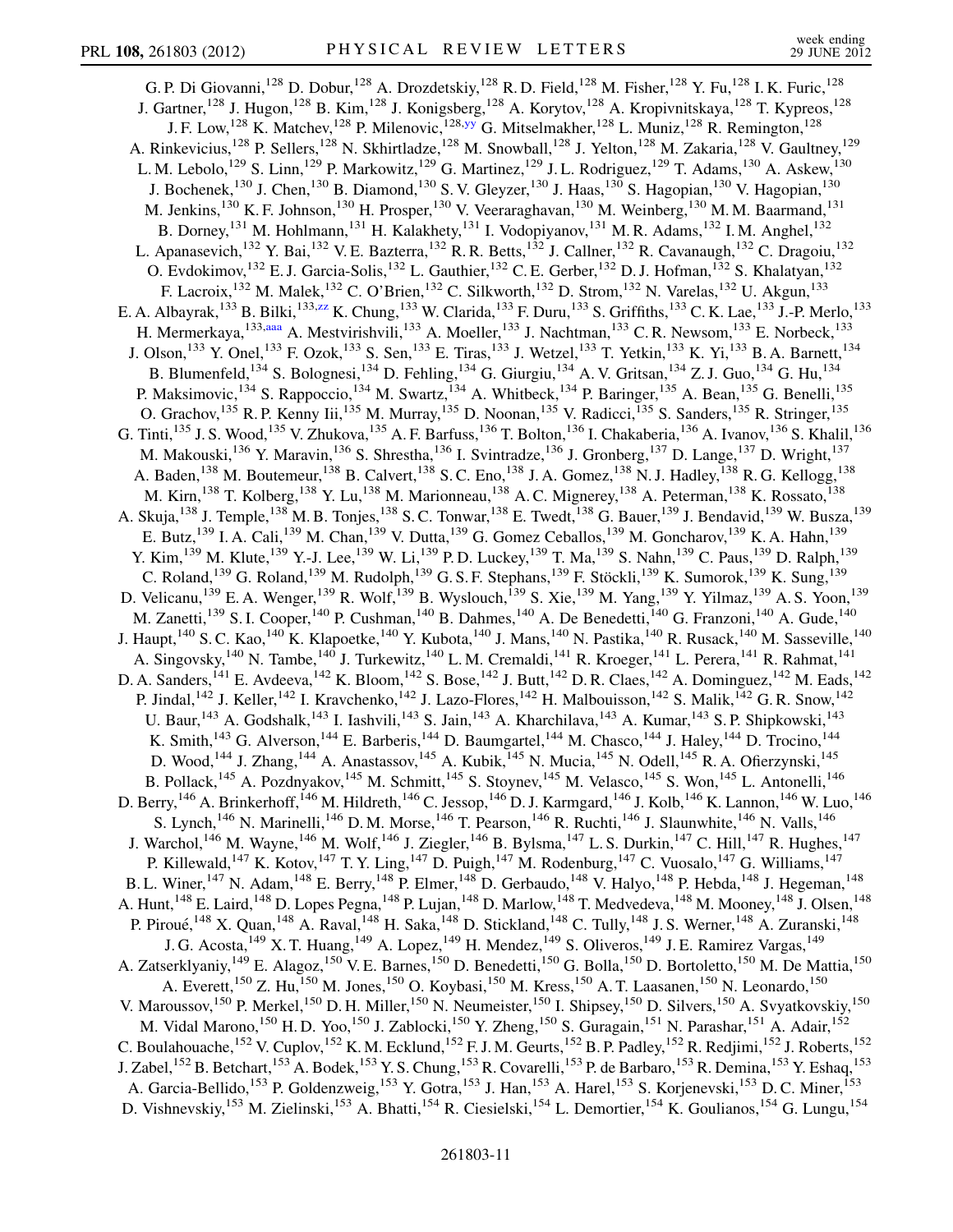<span id="page-10-2"></span><span id="page-10-1"></span><span id="page-10-0"></span>G. P. Di Giovanni,<sup>128</sup> D. Dobur,<sup>128</sup> A. Drozdetskiy,<sup>128</sup> R. D. Field,<sup>128</sup> M. Fisher,<sup>128</sup> Y. Fu,<sup>128</sup> I. K. Furic,<sup>128</sup> J. Gartner,<sup>128</sup> J. Hugon,<sup>128</sup> B. Kim,<sup>128</sup> J. Konigsberg,<sup>128</sup> A. Korytov,<sup>128</sup> A. Kropivnitskaya,<sup>128</sup> T. Kypreos,<sup>128</sup> J. F. Low,<sup>128</sup> K. Matchev,<sup>128</sup> P. Milenovic,<sup>128[,yy](#page-15-15)</sup> G. Mitselmakher,<sup>128</sup> L. Muniz,<sup>128</sup> R. Remington,<sup>128</sup> A. Rinkevicius,<sup>128</sup> P. Sellers,<sup>128</sup> N. Skhirtladze,<sup>128</sup> M. Snowball,<sup>128</sup> J. Yelton,<sup>128</sup> M. Zakaria,<sup>128</sup> V. Gaultney,<sup>129</sup> L. M. Lebolo,<sup>129</sup> S. Linn,<sup>129</sup> P. Markowitz,<sup>129</sup> G. Martinez,<sup>129</sup> J. L. Rodriguez,<sup>129</sup> T. Adams,<sup>130</sup> A. Askew,<sup>130</sup> J. Bochenek,<sup>130</sup> J. Chen,<sup>130</sup> B. Diamond,<sup>130</sup> S. V. Gleyzer,<sup>130</sup> J. Haas,<sup>130</sup> S. Hagopian,<sup>130</sup> V. Hagopian,<sup>130</sup> M. Jenkins,<sup>130</sup> K. F. Johnson,<sup>130</sup> H. Prosper,<sup>130</sup> V. Veeraraghavan,<sup>130</sup> M. Weinberg,<sup>130</sup> M. M. Baarmand,<sup>131</sup> B. Dorney,<sup>131</sup> M. Hohlmann,<sup>131</sup> H. Kalakhety,<sup>131</sup> I. Vodopiyanov,<sup>131</sup> M. R. Adams,<sup>132</sup> I. M. Anghel,<sup>132</sup> L. Apanasevich,<sup>132</sup> Y. Bai,<sup>132</sup> V. E. Bazterra,<sup>132</sup> R. R. Betts,<sup>132</sup> J. Callner,<sup>132</sup> R. Cavanaugh,<sup>132</sup> C. Dragoiu,<sup>132</sup> O. Evdokimov,<sup>132</sup> E. J. Garcia-Solis,<sup>132</sup> L. Gauthier,<sup>132</sup> C. E. Gerber,<sup>132</sup> D. J. Hofman,<sup>132</sup> S. Khalatyan,<sup>132</sup> F. Lacroix,<sup>132</sup> M. Malek,<sup>132</sup> C. O'Brien,<sup>132</sup> C. Silkworth,<sup>132</sup> D. Strom,<sup>132</sup> N. Varelas,<sup>132</sup> U. Akgun,<sup>133</sup> E. A. Albayrak,<sup>133</sup> B. Bilki,<sup>133[,zz](#page-15-16)</sup> K. Chung,<sup>133</sup> W. Clarida,<sup>133</sup> F. Duru,<sup>133</sup> S. Griffiths,<sup>133</sup> C. K. Lae,<sup>133</sup> J.-P. Merlo,<sup>133</sup> H. Mermerkaya, <sup>133,[aaa](#page-15-17)</sup> A. Mestvirishvili, <sup>133</sup> A. Moeller, <sup>133</sup> J. Nachtman, <sup>133</sup> C. R. Newsom, <sup>133</sup> E. Norbeck, <sup>133</sup> J. Olson,<sup>133</sup> Y. Onel,<sup>133</sup> F. Ozok,<sup>133</sup> S. Sen,<sup>133</sup> E. Tiras,<sup>133</sup> J. Wetzel,<sup>133</sup> T. Yetkin,<sup>133</sup> K. Yi,<sup>133</sup> B. A. Barnett,<sup>134</sup> B. Blumenfeld,<sup>134</sup> S. Bolognesi,<sup>134</sup> D. Fehling,<sup>134</sup> G. Giurgiu,<sup>134</sup> A. V. Gritsan,<sup>134</sup> Z. J. Guo,<sup>134</sup> G. Hu,<sup>134</sup> P. Maksimovic,<sup>134</sup> S. Rappoccio,<sup>134</sup> M. Swartz,<sup>134</sup> A. Whitbeck,<sup>134</sup> P. Baringer,<sup>135</sup> A. Bean,<sup>135</sup> G. Benelli,<sup>135</sup> O. Grachov,<sup>135</sup> R. P. Kenny Iii,<sup>135</sup> M. Murray,<sup>135</sup> D. Noonan,<sup>135</sup> V. Radicci,<sup>135</sup> S. Sanders,<sup>135</sup> R. Stringer,<sup>135</sup> G. Tinti,<sup>135</sup> J. S. Wood,<sup>135</sup> V. Zhukova,<sup>135</sup> A. F. Barfuss,<sup>136</sup> T. Bolton,<sup>136</sup> I. Chakaberia,<sup>136</sup> A. Ivanov,<sup>136</sup> S. Khalil,<sup>136</sup> M. Makouski,<sup>136</sup> Y. Maravin,<sup>136</sup> S. Shrestha,<sup>136</sup> I. Svintradze,<sup>136</sup> J. Gronberg,<sup>137</sup> D. Lange,<sup>137</sup> D. Wright,<sup>137</sup> A. Baden,<sup>138</sup> M. Boutemeur,<sup>138</sup> B. Calvert,<sup>138</sup> S. C. Eno,<sup>138</sup> J. A. Gomez,<sup>138</sup> N. J. Hadley,<sup>138</sup> R. G. Kellogg,<sup>138</sup> M. Kirn,<sup>138</sup> T. Kolberg,<sup>138</sup> Y. Lu,<sup>138</sup> M. Marionneau,<sup>138</sup> A. C. Mignerey,<sup>138</sup> A. Peterman,<sup>138</sup> K. Rossato,<sup>138</sup> A. Skuja, <sup>138</sup> J. Temple, <sup>138</sup> M. B. Tonjes, <sup>138</sup> S. C. Tonwar, <sup>138</sup> E. Twedt, <sup>138</sup> G. Bauer, <sup>139</sup> J. Bendavid, <sup>139</sup> W. Busza, <sup>139</sup> E. Butz,<sup>139</sup> I. A. Cali,<sup>139</sup> M. Chan,<sup>139</sup> V. Dutta,<sup>139</sup> G. Gomez Ceballos,<sup>139</sup> M. Goncharov,<sup>139</sup> K. A. Hahn,<sup>139</sup> Y. Kim, <sup>139</sup> M. Klute, <sup>139</sup> Y.-J. Lee, <sup>139</sup> W. Li, <sup>139</sup> P. D. Luckey, <sup>139</sup> T. Ma, <sup>139</sup> S. Nahn, <sup>139</sup> C. Paus, <sup>139</sup> D. Ralph, <sup>139</sup> C. Roland,<sup>139</sup> G. Roland,<sup>139</sup> M. Rudolph,<sup>139</sup> G. S. F. Stephans,<sup>139</sup> F. Stöckli,<sup>139</sup> K. Sumorok,<sup>139</sup> K. Sung,<sup>139</sup> D. Velicanu,<sup>139</sup> E. A. Wenger,<sup>139</sup> R. Wolf,<sup>139</sup> B. Wyslouch,<sup>139</sup> S. Xie,<sup>139</sup> M. Yang,<sup>139</sup> Y. Yilmaz,<sup>139</sup> A. S. Yoon,<sup>139</sup> M. Zanetti,<sup>139</sup> S. I. Cooper,<sup>140</sup> P. Cushman,<sup>140</sup> B. Dahmes,<sup>140</sup> A. De Benedetti,<sup>140</sup> G. Franzoni,<sup>140</sup> A. Gude,<sup>140</sup> J. Haupt,<sup>140</sup> S. C. Kao,<sup>140</sup> K. Klapoetke,<sup>140</sup> Y. Kubota,<sup>140</sup> J. Mans,<sup>140</sup> N. Pastika,<sup>140</sup> R. Rusack,<sup>140</sup> M. Sasseville,<sup>140</sup> A. Singovsky,<sup>140</sup> N. Tambe,<sup>140</sup> J. Turkewitz,<sup>140</sup> L. M. Cremaldi,<sup>141</sup> R. Kroeger,<sup>141</sup> L. Perera,<sup>141</sup> R. Rahmat,<sup>141</sup> D. A. Sanders,<sup>141</sup> E. Avdeeva,<sup>142</sup> K. Bloom,<sup>142</sup> S. Bose,<sup>142</sup> J. Butt,<sup>142</sup> D. R. Claes,<sup>142</sup> A. Dominguez,<sup>142</sup> M. Eads,<sup>142</sup> P. Jindal,<sup>142</sup> J. Keller,<sup>142</sup> I. Kravchenko,<sup>142</sup> J. Lazo-Flores,<sup>142</sup> H. Malbouisson,<sup>142</sup> S. Malik,<sup>142</sup> G. R. Snow,<sup>142</sup> U. Baur,<sup>143</sup> A. Godshalk,<sup>143</sup> I. Iashvili,<sup>143</sup> S. Jain,<sup>143</sup> A. Kharchilava,<sup>143</sup> A. Kumar,<sup>143</sup> S. P. Shipkowski,<sup>143</sup> K. Smith,<sup>143</sup> G. Alverson,<sup>144</sup> E. Barberis,<sup>144</sup> D. Baumgartel,<sup>144</sup> M. Chasco,<sup>144</sup> J. Haley,<sup>144</sup> D. Trocino,<sup>144</sup> D. Wood, <sup>144</sup> J. Zhang, <sup>144</sup> A. Anastassov, <sup>145</sup> A. Kubik, <sup>145</sup> N. Mucia, <sup>145</sup> N. Odell, <sup>145</sup> R. A. Ofierzynski, <sup>145</sup> B. Pollack,<sup>145</sup> A. Pozdnyakov,<sup>145</sup> M. Schmitt,<sup>145</sup> S. Stoynev,<sup>145</sup> M. Velasco,<sup>145</sup> S. Won,<sup>145</sup> L. Antonelli,<sup>146</sup> D. Berry, <sup>146</sup> A. Brinkerhoff, <sup>146</sup> M. Hildreth, <sup>146</sup> C. Jessop, <sup>146</sup> D. J. Karmgard, <sup>146</sup> J. Kolb, <sup>146</sup> K. Lannon, <sup>146</sup> W. Luo, <sup>146</sup> S. Lynch,<sup>146</sup> N. Marinelli,<sup>146</sup> D. M. Morse,<sup>146</sup> T. Pearson,<sup>146</sup> R. Ruchti,<sup>146</sup> J. Slaunwhite,<sup>146</sup> N. Valls,<sup>146</sup> J. Warchol,<sup>146</sup> M. Wayne,<sup>146</sup> M. Wolf,<sup>146</sup> J. Ziegler,<sup>146</sup> B. Bylsma,<sup>147</sup> L. S. Durkin,<sup>147</sup> C. Hill,<sup>147</sup> R. Hughes,<sup>147</sup> P. Killewald,<sup>147</sup> K. Kotov,<sup>147</sup> T. Y. Ling,<sup>147</sup> D. Puigh,<sup>147</sup> M. Rodenburg,<sup>147</sup> C. Vuosalo,<sup>147</sup> G. Williams,<sup>147</sup> B. L. Winer,<sup>147</sup> N. Adam,<sup>148</sup> E. Berry,<sup>148</sup> P. Elmer,<sup>148</sup> D. Gerbaudo,<sup>148</sup> V. Halyo,<sup>148</sup> P. Hebda,<sup>148</sup> J. Hegeman,<sup>148</sup> A. Hunt,<sup>148</sup> E. Laird,<sup>148</sup> D. Lopes Pegna,<sup>148</sup> P. Lujan,<sup>148</sup> D. Marlow,<sup>148</sup> T. Medvedeva,<sup>148</sup> M. Mooney,<sup>148</sup> J. Olsen,<sup>148</sup> P. Piroué, <sup>148</sup> X. Quan, <sup>148</sup> A. Raval, <sup>148</sup> H. Saka, <sup>148</sup> D. Stickland, <sup>148</sup> C. Tully, <sup>148</sup> J. S. Werner, <sup>148</sup> A. Zuranski, <sup>148</sup> J. G. Acosta,<sup>149</sup> X. T. Huang,<sup>149</sup> A. Lopez,<sup>149</sup> H. Mendez,<sup>149</sup> S. Oliveros,<sup>149</sup> J. E. Ramirez Vargas,<sup>149</sup> A. Zatserklyaniy,<sup>149</sup> E. Alagoz,<sup>150</sup> V. E. Barnes,<sup>150</sup> D. Benedetti,<sup>150</sup> G. Bolla,<sup>150</sup> D. Bortoletto,<sup>150</sup> M. De Mattia,<sup>150</sup> A. Everett,<sup>150</sup> Z. Hu,<sup>150</sup> M. Jones,<sup>150</sup> O. Koybasi,<sup>150</sup> M. Kress,<sup>150</sup> A. T. Laasanen,<sup>150</sup> N. Leonardo,<sup>150</sup> V. Maroussov,<sup>150</sup> P. Merkel,<sup>150</sup> D. H. Miller,<sup>150</sup> N. Neumeister,<sup>150</sup> I. Shipsey,<sup>150</sup> D. Silvers,<sup>150</sup> A. Svyatkovskiy,<sup>150</sup> M. Vidal Marono,<sup>150</sup> H. D. Yoo,<sup>150</sup> J. Zablocki,<sup>150</sup> Y. Zheng,<sup>150</sup> S. Guragain,<sup>151</sup> N. Parashar,<sup>151</sup> A. Adair,<sup>152</sup> C. Boulahouache,<sup>152</sup> V. Cuplov,<sup>152</sup> K. M. Ecklund,<sup>152</sup> F. J. M. Geurts,<sup>152</sup> B. P. Padley,<sup>152</sup> R. Redjimi,<sup>152</sup> J. Roberts,<sup>152</sup> J. Zabel,<sup>152</sup> B. Betchart,<sup>153</sup> A. Bodek,<sup>153</sup> Y. S. Chung,<sup>153</sup> R. Covarelli,<sup>153</sup> P. de Barbaro,<sup>153</sup> R. Demina,<sup>153</sup> Y. Eshaq,<sup>153</sup> A. Garcia-Bellido,<sup>153</sup> P. Goldenzweig,<sup>153</sup> Y. Gotra,<sup>153</sup> J. Han,<sup>153</sup> A. Harel,<sup>153</sup> S. Korjenevski,<sup>153</sup> D. C. Miner,<sup>153</sup> D. Vishnevskiy,<sup>153</sup> M. Zielinski,<sup>153</sup> A. Bhatti,<sup>154</sup> R. Ciesielski,<sup>154</sup> L. Demortier,<sup>154</sup> K. Goulianos,<sup>154</sup> G. Lungu,<sup>154</sup>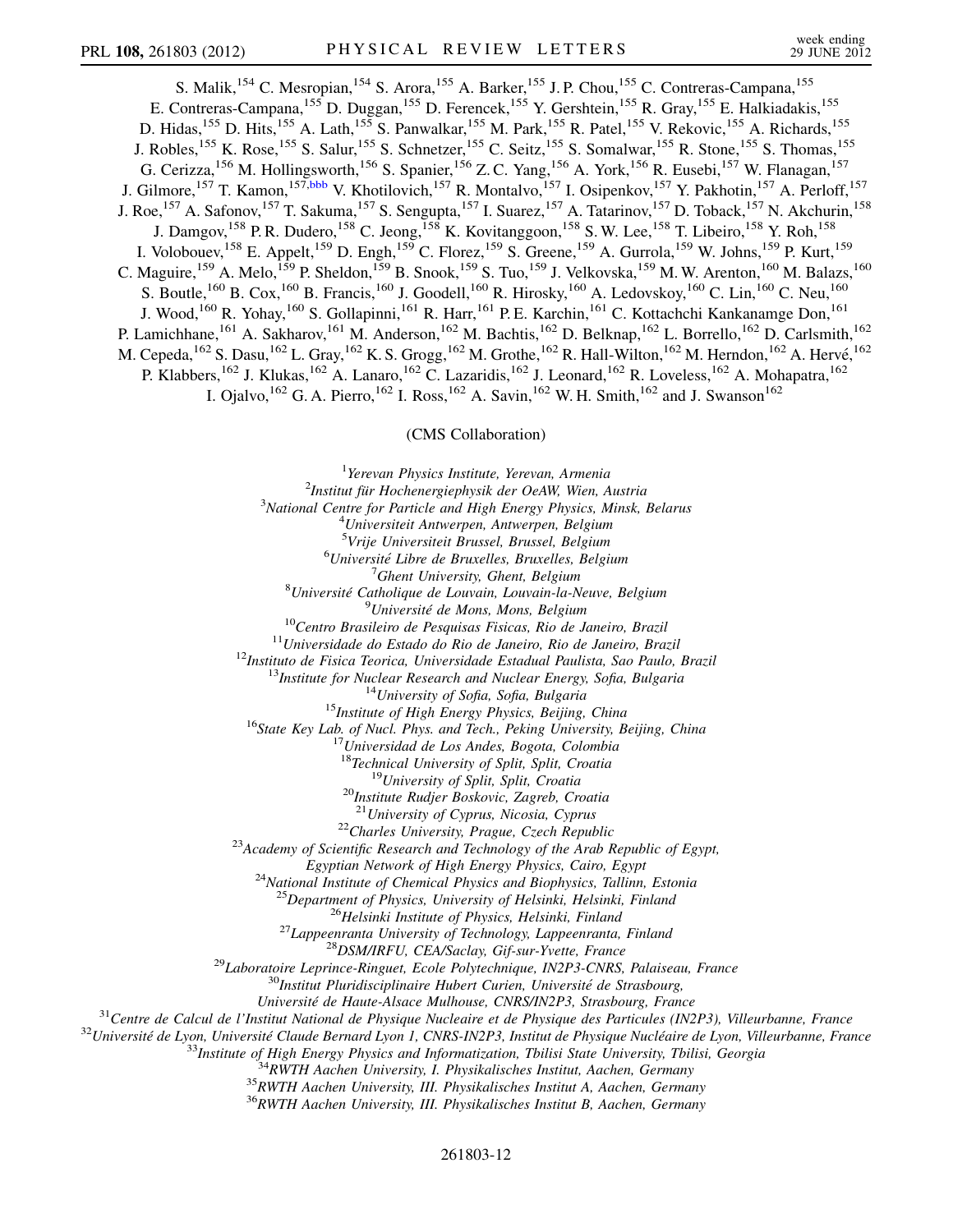<span id="page-11-0"></span>S. Malik, <sup>154</sup> C. Mesropian, <sup>154</sup> S. Arora, <sup>155</sup> A. Barker, <sup>155</sup> J. P. Chou, <sup>155</sup> C. Contreras-Campana, <sup>155</sup> E. Contreras-Campana,<sup>155</sup> D. Duggan,<sup>155</sup> D. Ferencek,<sup>155</sup> Y. Gershtein,<sup>155</sup> R. Gray,<sup>155</sup> E. Halkiadakis,<sup>155</sup> D. Hidas,<sup>155</sup> D. Hits,<sup>155</sup> A. Lath,<sup>155</sup> S. Panwalkar,<sup>155</sup> M. Park,<sup>155</sup> R. Patel,<sup>155</sup> V. Rekovic,<sup>155</sup> A. Richards,<sup>155</sup> J. Robles,<sup>155</sup> K. Rose,<sup>155</sup> S. Salur,<sup>155</sup> S. Schnetzer,<sup>155</sup> C. Seitz,<sup>155</sup> S. Somalwar,<sup>155</sup> R. Stone,<sup>155</sup> S. Thomas,<sup>155</sup> G. Cerizza,<sup>156</sup> M. Hollingsworth,<sup>156</sup> S. Spanier,<sup>156</sup> Z. C. Yang,<sup>156</sup> A. York,<sup>156</sup> R. Eusebi,<sup>157</sup> W. Flanagan,<sup>157</sup> J. Gilmore,<sup>157</sup> T. Kamon,<sup>157,[bbb](#page-15-18)</sup> V. Khotilovich,<sup>157</sup> R. Montalvo,<sup>157</sup> I. Osipenkov,<sup>157</sup> Y. Pakhotin,<sup>157</sup> A. Perloff,<sup>157</sup> J. Roe,<sup>157</sup> A. Safonov,<sup>157</sup> T. Sakuma,<sup>157</sup> S. Sengupta,<sup>157</sup> I. Suarez,<sup>157</sup> A. Tatarinov,<sup>157</sup> D. Toback,<sup>157</sup> N. Akchurin,<sup>158</sup> J. Damgov,<sup>158</sup> P. R. Dudero,<sup>158</sup> C. Jeong,<sup>158</sup> K. Kovitanggoon,<sup>158</sup> S. W. Lee,<sup>158</sup> T. Libeiro,<sup>158</sup> Y. Roh,<sup>158</sup> I. Volobouev,<sup>158</sup> E. Appelt,<sup>159</sup> D. Engh,<sup>159</sup> C. Florez,<sup>159</sup> S. Greene,<sup>159</sup> A. Gurrola,<sup>159</sup> W. Johns,<sup>159</sup> P. Kurt,<sup>159</sup> C. Maguire,<sup>159</sup> A. Melo,<sup>159</sup> P. Sheldon,<sup>159</sup> B. Snook,<sup>159</sup> S. Tuo,<sup>159</sup> J. Velkovska,<sup>159</sup> M. W. Arenton,<sup>160</sup> M. Balazs,<sup>160</sup> S. Boutle,<sup>160</sup> B. Cox,<sup>160</sup> B. Francis,<sup>160</sup> J. Goodell,<sup>160</sup> R. Hirosky,<sup>160</sup> A. Ledovskoy,<sup>160</sup> C. Lin,<sup>160</sup> C. Neu,<sup>160</sup> J. Wood,<sup>160</sup> R. Yohay,<sup>160</sup> S. Gollapinni,<sup>161</sup> R. Harr,<sup>161</sup> P. E. Karchin,<sup>161</sup> C. Kottachchi Kankanamge Don,<sup>161</sup> P. Lamichhane,<sup>161</sup> A. Sakharov,<sup>161</sup> M. Anderson,<sup>162</sup> M. Bachtis,<sup>162</sup> D. Belknap,<sup>162</sup> L. Borrello,<sup>162</sup> D. Carlsmith,<sup>162</sup> M. Cepeda,  $^{162}$  S. Dasu,  $^{162}$  L. Gray,  $^{162}$  K. S. Grogg,  $^{162}$  M. Grothe,  $^{162}$  R. Hall-Wilton,  $^{162}$  M. Herndon,  $^{162}$  A. Hervé,  $^{162}$ P. Klabbers,<sup>162</sup> J. Klukas,<sup>162</sup> A. Lanaro,<sup>162</sup> C. Lazaridis,<sup>162</sup> J. Leonard,<sup>162</sup> R. Loveless,<sup>162</sup> A. Mohapatra,<sup>162</sup> I. Ojalvo,<sup>162</sup> G. A. Pierro,<sup>162</sup> I. Ross,<sup>162</sup> A. Savin,<sup>162</sup> W. H. Smith,<sup>162</sup> and J. Swanson<sup>162</sup>

## (CMS Collaboration)

<sup>1</sup>Yerevan Physics Institute, Yerevan, Armenia <sup>1</sup>Yerevan Physics Institute, Yerevan, Armenia<sup>2</sup>Institut für Hochanaraianhysik der OeAW Wien <sup>2</sup>Institut für Hochenergiephysik der OeAW, Wien, Austria<sup>3</sup>National Centre for Particle and High Fnerov Physics. Minsk  $3$ National Centre for Particle and High Energy Physics, Minsk, Belarus Universiteit Antwerpen, Antwerpen, Belgium <sup>5</sup>Vrije Universiteit Brussel, Brussel, Belgium <sup>5</sup>Vrije Universiteit Brussel, Brussel, Belgium <sup>6</sup>Université Libre de Bruxelles, Bruxelles, Belgium Université Libre de Bruxelles, Bruxelles, Belgium  $\frac{7}{6}$ Chant University Chant Belgium <sup>'</sup>Ghent University, Ghent, Belgium<sup>'</sup><br>Buniversité Catholique de Louvain, Louvain-la-Neuve, Belgium<sup>8</sup> <sup>9</sup>Université de Mons, Mons, Belgium <sup>10</sup>Centro Brasileiro de Pesquisas Fisicas, Rio de Janeiro, Brazil<br><sup>11</sup>Universidade do Estado do Rio de Janeiro, Rio de Janeiro, Brazil<br><sup>12</sup>Instituto de Fisica Teorica, Universidade Estadual Paulista, Sao Paulo, Brazil<br><sup>1</sup> <sup>19</sup>University of Split, Split, Croatia<br><sup>20</sup>Institute Rudjer Boskovic, Zagreb, Croatia <sup>21</sup>University of Cyprus, Nicosia, Cyprus <sup>22</sup>Charles University, Prague, Czech Republic<br><sup>23</sup>Academy of Scientific Research and Technology of the Arab Republic of Egypt, Egyptian Network of High Energy Physics, Cairo, Egypt <sup>24</sup>National Institute of Chemical Physics and Biophysics, Tallinn, Estonia <sup>25</sup>Department of Physics, University of Helsinki, Helsinki, Finland<br><sup>26</sup>Helsinki Institute of Physics, Helsinki, Finland<br><sup>27</sup>Lappeenranta University of Technology, Lappeenranta, Finland<br><sup>28</sup>DSM/IRFU, CEA/Saclay, Gif-sur-Université de Haute-Alsace Mulhouse, CNRS/IN2P3, Strasbourg, France<br><sup>31</sup>Centre de Calcul de l'Institut National de Physique Nucleaire et de Physique des Particules (IN2P3), Villeurbanne, France<br><sup>32</sup>Université de Lyon, Univ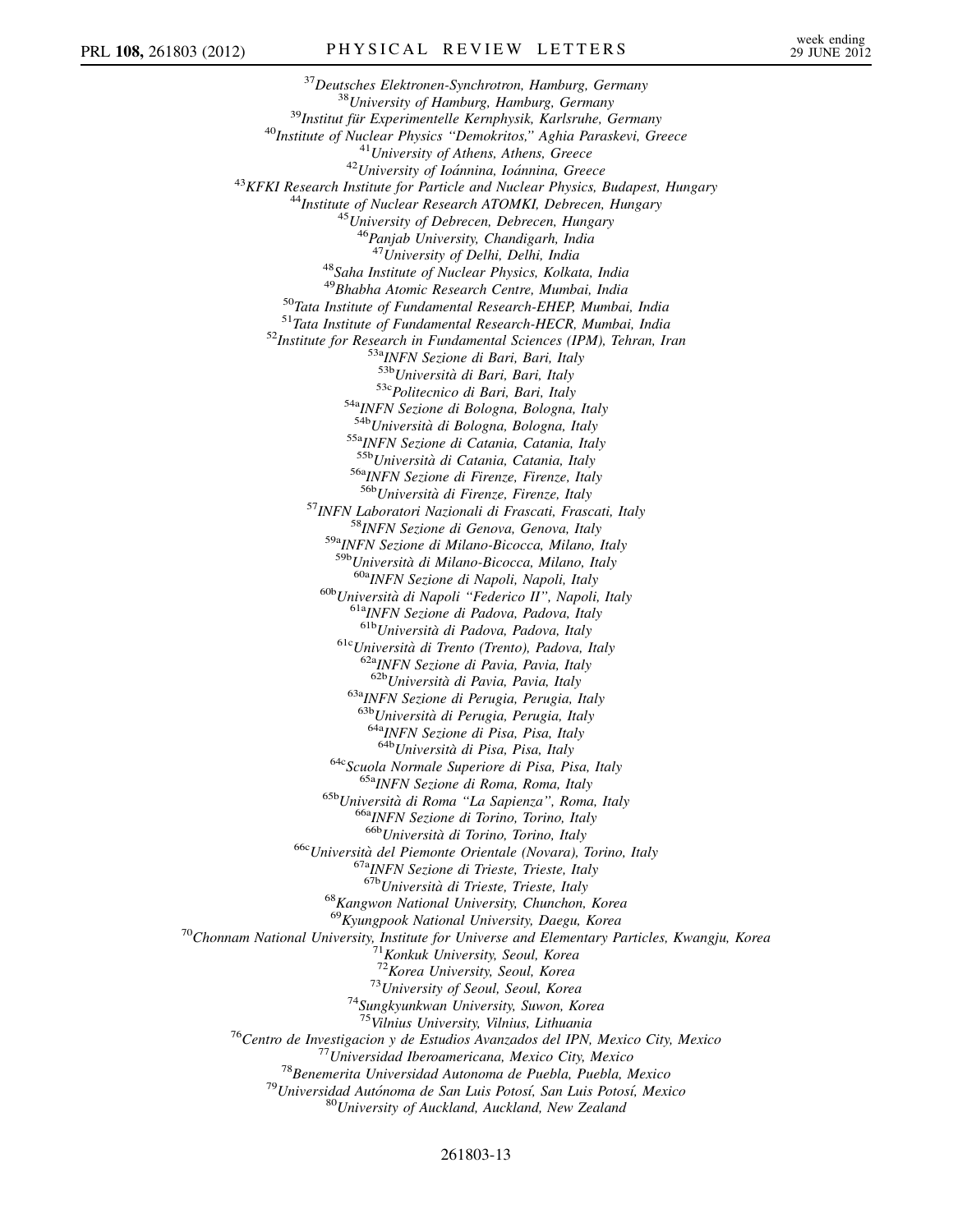<sup>37</sup>Deutsches Elektronen-Synchrotron, Hamburg, Germany<br><sup>38</sup>University of Hamburg, Hamburg, Germany<br><sup>39</sup>Institut für Experimentelle Kernphysik, Karlsruhe, Germany<br><sup>40</sup>Institute of Nuclear Physics "Demokritos," Aghia Parask <sup>46</sup>Panjab University, Chandigarh, India<br><sup>47</sup>University of Delhi, Delhi, India <sup>48</sup>Saha Institute of Nuclear Physics, Kolkata, India<br><sup>49</sup>Bhabha Atomic Research Centre, Mumbai, India <sup>50</sup>Tata Institute of Fundamental Research-EHEP, Mumbai, India<br><sup>51</sup>Tata Institute of Fundamental Research-HECR, Mumbai, India<br><sup>52</sup>Institute for Research in Fundamental Sciences (IPM), Tehran, Iran<br><sup>52</sup>Institute for Resear <sup>53c</sup>Politecnico di Bari, Bari, Italy<br><sup>54a</sup>INFN Sezione di Bologna, Bologna, Italy <sup>54b</sup>Università di Bologna, Bologna, Italy <sup>55a</sup>INFN Sezione di Catania, Catania, Italy<br><sup>55b</sup>Università di Catania, Catania, Italy <sup>56a</sup>INFN Sezione di Firenze, Firenze, Italy<br><sup>56b</sup>Università di Firenze, Firenze, Italy <sup>57</sup>INFN Laboratori Nazionali di Frascati, Frascati, Italy <sup>58</sup>INFN Sezione di Genova, Genova, Italy <sup>59a</sup>INFN Sezione di Milano-Bicocca, Milano, Italy <sup>59b</sup>Università di Milano-Bicocca, Milano, Italy <sup>60a</sup>INFN Sezione di Napoli, Napoli, Italy <sup>60b</sup>Università di Napoli "Federico II", Napoli, Italy <sup>61a</sup>INFN Sezione di Padova, Padova, Italy 6<sup>1b</sup>Università di Padova, Padova, Italy <sup>61c</sup>Università di Trento (Trento), Padova, Italy <sup>62a</sup>INFN Sezione di Pavia, Pavia, Italy <sup>62b</sup>Università di Pavia, Pavia, Italy 63aINFN Sezione di Perugia, Perugia, Italy  $636$ Università di Perugia, Perugia, Italy  $648$ INFN Sezione di Pisa, Pisa, Italy  $648$ Università di Pisa, Pisa, Italy <sup>64c</sup>Scuola Normale Superiore di Pisa, Pisa, Italy <sup>65a</sup>INFN Sezione di Roma, Roma, Italy <sup>65b</sup>Università di Roma ''La Sapienza'', Roma, Italy <sup>66a</sup>INFN Sezione di Torino, Torino, Italy <sup>66b</sup>Università di Torino, Torino, <sup>66c</sup>Università del Piemonte Orientale (Novara), Torino, Italy<br><sup>67a</sup>INFN Sezione di Trieste, Trieste, Italy<br><sup>67b</sup>Università di Trieste, Trieste, Italy  $68$ Kangwon National University, Chunchon, Korea<br> $69$ Kyungpook National University, Daegu, Korea <sup>70</sup>Chonnam National University, Institute for Universe and Elementary Particles, Kwangju, Korea <sup>71</sup>Konkuk University, Seoul, Korea 7<sup>12</sup>Korea University, Seoul, Korea 7<sup>12</sup>Korea 1*72*Korea University, Seoul, Korea  $^{73}$ University of Seoul, Seoul, Korea  $^{74}$ Sungkyunkwan University, Suwon, Korea <sup>75</sup>Vilnius University, Vilnius, Lithuania<br><sup>76</sup>Centro de Investigacion y de Estudios Avanzados del IPN, Mexico City, Mexico<br><sup>77</sup>Universidad Iberoamericana, Mexico City, Mexico<br><sup>78</sup>Benemerita Universidad Autonoma de Puebla

261803-13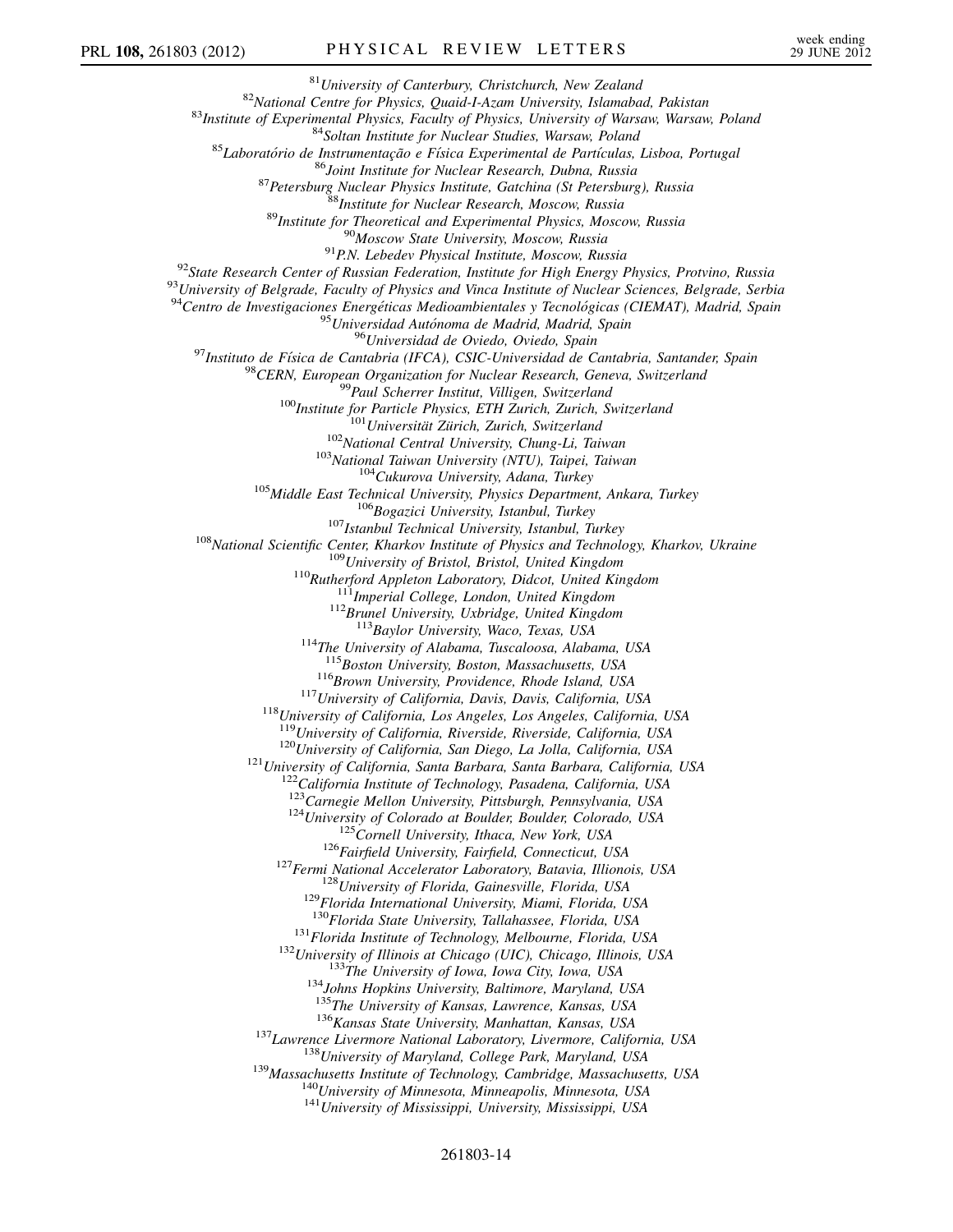<sup>81</sup>University of Canterbury, Christchurch, New Zealand<br><sup>82</sup>National Centre for Physics, Quaid-I-Azam University, Islamabad, Pakistan<br><sup>83</sup>Institute of Experimental Physics, Faculty of Physics, University of Warsaw, Warsaw  $\begin{small} & ^{94}Centro\,\, de\,\, Investigaciones\,\,Energ\'elicas\,\, Medioambientales\,\, y\,\, Tecnológicas\,\, (CIEMAT),\,\, Madrid,\,\, Spain\\ & ^{95}Unirisidad\,\,Auto noma\,\, de\,\, Madrid,\,\, Spain\\ & ^{96}Universidad\,\, delo\,\, oVielo,\,\, Oqioh\,\, Gac\,\, and\,\, a\,\, d\,\, Bcain\,\, A\,\, CstC-Universidad\,\, de\,\, Cantabria,\,\, Santander,\,\, Spain\\ & ^{98}CERN,\,\, European Organization for Nuclear Research,\,\, Geneva,\,\, Switzerland\\ & ^{99}Part\,\, Schener\,\$ <sup>112</sup>Brunel University, Uxbridge, United Kingdom<br><sup>113</sup>Baylor University, Waco, Texas, USA<br><sup>114</sup>The University of Alabama, Tuscaloosa, Alabama, USA<br><sup>115</sup>Boston University, Boston, Massachusetts, USA <sup>116</sup>Brown University, Providence, Rhode Island, USA<br><sup>117</sup>University of California, Davis, Davis, California, USA<br><sup>118</sup>University of California, Los Angeles, Los Angeles, California, USA<br><sup>119</sup>University of California, Riv <sup>120</sup>University of California, San Diego, La Jolla, California, USA<br><sup>121</sup>University of California, Santa Barbara, Santa Barbara, California, USA<br><sup>122</sup>California Institute of Technology, Pasadena, California, USA <sup>123</sup>Carnegie Mellon University, Pittsburgh, Pennsylvania, USA<br><sup>124</sup>University of Colorado at Boulder, Boulder, Colorado, USA<br><sup>125</sup>Cornell University, Ithaca, New York, USA<br><sup>126</sup>Fairfield University, Fairfield, Connecticu <sup>131</sup>Florida Institute of Technology, Melbourne, Florida, USA<br><sup>132</sup>University of Illinois at Chicago (UIC), Chicago, Illinois, USA<br><sup>133</sup>The University of Iowa, Iowa City, Iowa, USA<br><sup>134</sup>Johns Hopkins University, Baltimore <sup>136</sup> Kansas State University, Manhattan, Kansas, USA<br><sup>137</sup> Lawrence Livermore National Laboratory, Livermore, California, USA<br><sup>138</sup> University of Maryland, College Park, Maryland, USA<br><sup>139</sup> Massachusetts Institute of Tec

## 261803-14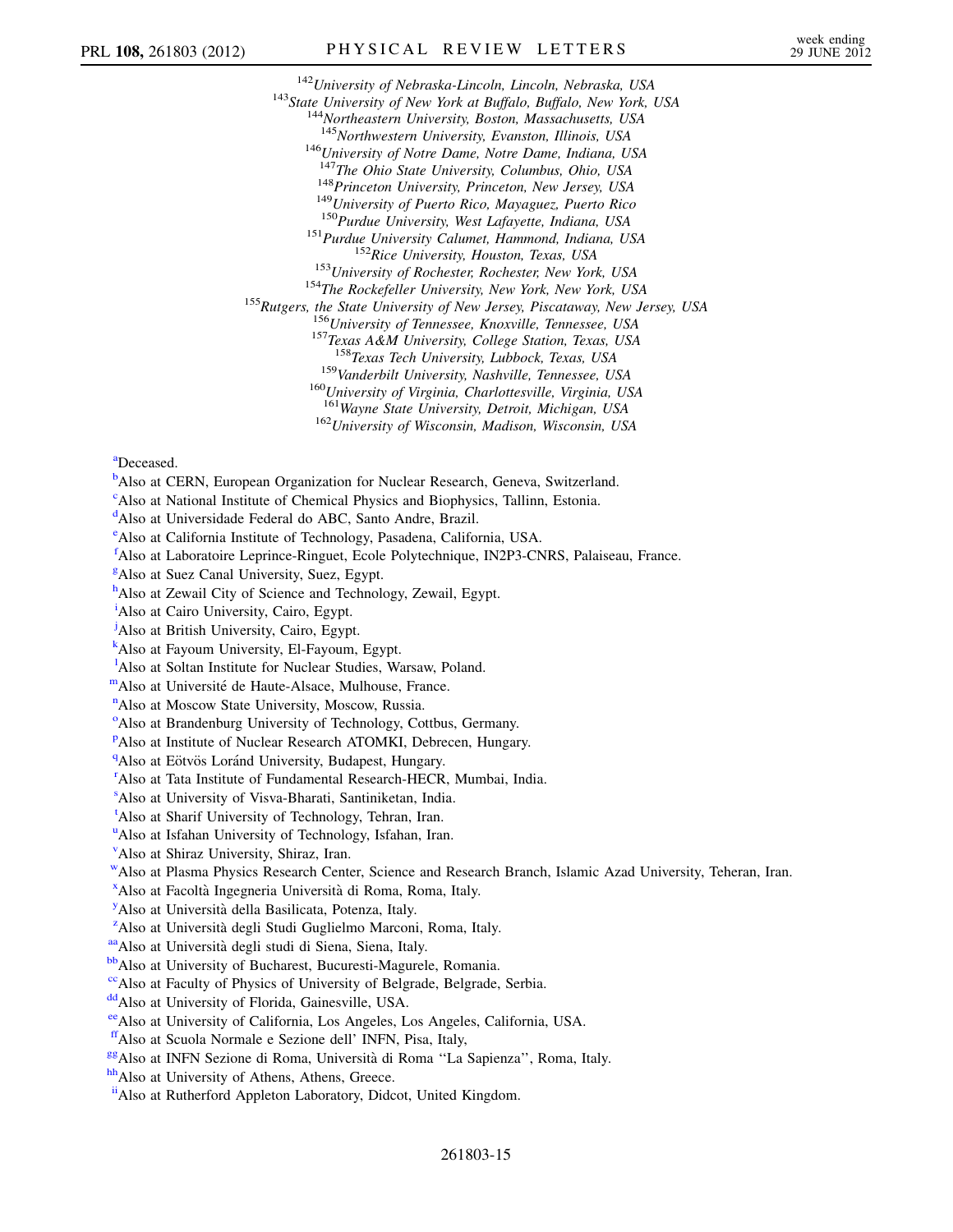<sup>142</sup>University of Nebraska-Lincoln, Lincoln, Nebraska, USA <sup>143</sup>State University of New York at Buffalo, Buffalo, New York, USA <sup>144</sup>Northeastern University, Boston, Massachusetts, USA <sup>145</sup>Northwestern University, Evans <sup>146</sup>University of Notre Dame, Notre Dame, Indiana, USA  $147$ The Ohio State University, Columbus, Ohio, USA <sup>148</sup>Princeton University, Princeton, New Jersey, USA<br><sup>149</sup>University of Puerto Rico, Mayaguez, Puerto Rico<br><sup>150</sup>Purdue University, West Lafayette, Indiana, USA<br><sup>151</sup>Purdue University, West Lafayette, Indiana, USA<br><sup>152</sup>Ri <sup>159</sup>Vanderbilt University, Nashville, Tennessee, USA<br><sup>160</sup>University of Virginia, Charlottesville, Virginia, USA

<sup>161</sup>Wayne State University, Detroit, Michigan, USA<br><sup>162</sup>University of Wisconsin, Madison, Wisconsin, USA

<span id="page-14-1"></span>[a](#page-5-11)Deceased.

<span id="page-14-0"></span><sup>[b](#page-5-12)</sup>Also at CERN, European Organization for Nuclear Research, Geneva, Switzerland.

<span id="page-14-2"></span><sup>[c](#page-5-13)</sup>Also at National Institute of Chemical Physics and Biophysics, Tallinn, Estonia.

<span id="page-14-3"></span><sup>[d](#page-5-14)</sup>Also at Universidade Federal do ABC, Santo Andre, Brazil.

<span id="page-14-4"></span>[e](#page-5-15) Also at California Institute of Technology, Pasadena, California, USA.

<span id="page-14-5"></span>[f](#page-5-16) Also at Laboratoire Leprince-Ringuet, Ecole Polytechnique, IN2P3-CNRS, Palaiseau, France.

<span id="page-14-6"></span><sup>[g](#page-5-17)</sup>Also at Suez Canal University, Suez, Egypt.

<span id="page-14-7"></span>[h](#page-5-17) Also at Zewail City of Science and Technology, Zewail, Egypt.

<span id="page-14-8"></span><sup>[i](#page-5-17)</sup>Also at Cairo University, Cairo, Egypt.

<span id="page-14-9"></span><sup>[j](#page-5-18)</sup>Also at British University, Cairo, Egypt.

<span id="page-14-10"></span>[k](#page-5-18) Also at Fayoum University, El-Fayoum, Egypt.

<span id="page-14-11"></span><sup>1</sup>A[l](#page-6-0)so at Soltan Institute for Nuclear Studies, Warsaw, Poland.

<span id="page-14-13"></span><span id="page-14-12"></span>[mA](#page-6-1)lso at Université de Haute-Alsace, Mulhouse, France.

<sup>[n](#page-6-2)</sup>Also at Moscow State University, Moscow, Russia.

<span id="page-14-14"></span><sup>[o](#page-6-3)</sup>Also at Brandenburg University of Technology, Cottbus, Germany.

<span id="page-14-15"></span><su[p](#page-6-4)>p</sup>Also at Institute of Nuclear Research ATOMKI, Debrecen, Hungary.

<span id="page-14-16"></span><sup>[q](#page-6-5)</sup>Also at Eötvös Loránd University, Budapest, Hungary.

<span id="page-14-17"></span><sup>[r](#page-6-6)</sup>Also at Tata Institute of Fundamental Research-HECR, Mumbai, India.

<span id="page-14-18"></span>[s](#page-6-7) Also at University of Visva-Bharati, Santiniketan, India.

<span id="page-14-19"></span><sup>[t](#page-6-8)</sup>Also at Sharif University of Technology, Tehran, Iran.

<span id="page-14-20"></span><s[u](#page-6-9)p>u</sup>Also at Isfahan University of Technology, Isfahan, Iran.

<span id="page-14-21"></span>[v](#page-6-8) Also at Shiraz University, Shiraz, Iran.

<span id="page-14-22"></span>[wA](#page-6-9)lso at Plasma Physics Research Center, Science and Research Branch, Islamic Azad University, Teheran, Iran.

<span id="page-14-23"></span><sup>[x](#page-7-0)</sup>Also at Facoltà Ingegneria Università di Roma, Roma, Italy.

<span id="page-14-24"></span><sup>[y](#page-7-1)</sup>Also at Università della Basilicata, Potenza, Italy.

<span id="page-14-25"></span><sup>[z](#page-7-2)</sup>Also at Università degli Studi Guglielmo Marconi, Roma, Italy.

<span id="page-14-26"></span>aa Also at Università degli studi di Siena, Siena, Italy.

<span id="page-14-27"></span>bb<sub>Also</sub> at University of Bucharest, Bucuresti-Magurele, Romania.

<span id="page-14-28"></span><sup>cc</sup>Also at Faculty of Physics of University of Belgrade, Belgrade, Serbia.

<span id="page-14-29"></span>dd Also at University of Florida, Gainesville, USA.

<span id="page-14-31"></span><span id="page-14-30"></span>[eeA](#page-8-2)lso at University of California, Los Angeles, Los Angeles, California, USA.

[ffA](#page-8-3)lso at Scuola Normale e Sezione dell' INFN, Pisa, Italy,

<span id="page-14-32"></span><sup>gg</sup>Also at INFN Sezione di Roma, Università di Roma "La Sapienza", Roma, Italy.

<span id="page-14-34"></span><span id="page-14-33"></span>hh<sub>Also</sub> at University of Athens, Athens, Greece.

[iiA](#page-8-6)lso at Rutherford Appleton Laboratory, Didcot, United Kingdom.